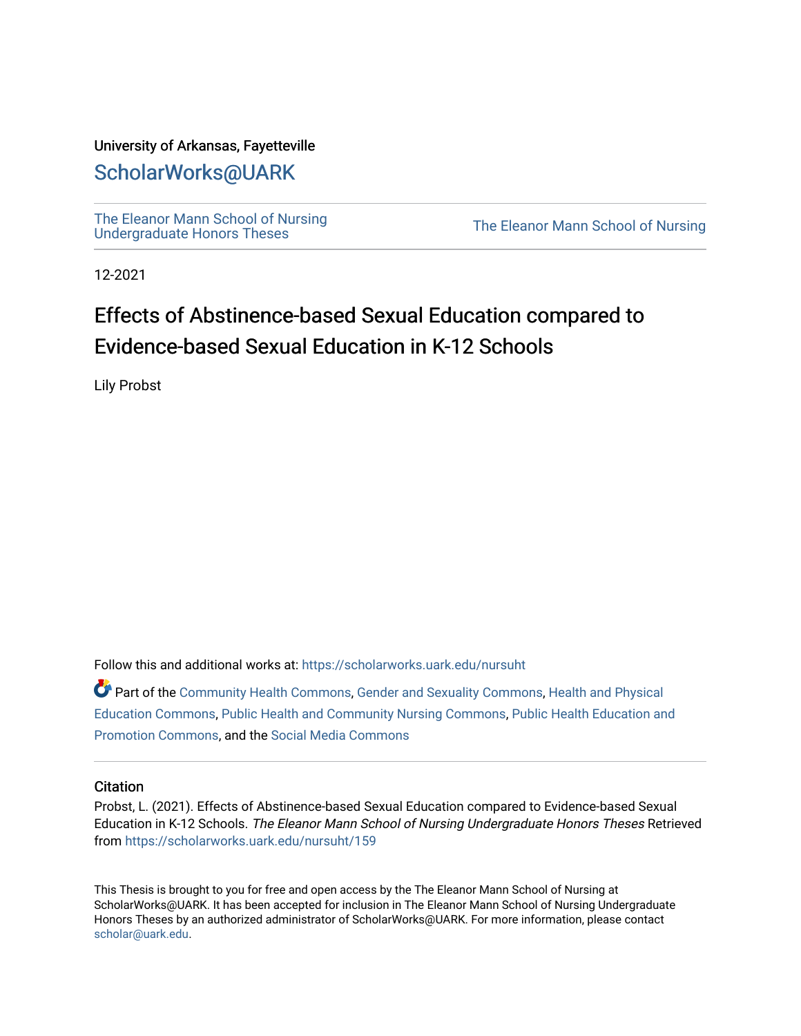## University of Arkansas, Fayetteville

# [ScholarWorks@UARK](https://scholarworks.uark.edu/)

[The Eleanor Mann School of Nursing](https://scholarworks.uark.edu/nursuht)<br>Undergraduate Honors Theses

The Eleanor Mann School of Nursing

12-2021

# Effects of Abstinence-based Sexual Education compared to Evidence-based Sexual Education in K-12 Schools

Lily Probst

Follow this and additional works at: [https://scholarworks.uark.edu/nursuht](https://scholarworks.uark.edu/nursuht?utm_source=scholarworks.uark.edu%2Fnursuht%2F159&utm_medium=PDF&utm_campaign=PDFCoverPages)

Part of the [Community Health Commons,](http://network.bepress.com/hgg/discipline/714?utm_source=scholarworks.uark.edu%2Fnursuht%2F159&utm_medium=PDF&utm_campaign=PDFCoverPages) [Gender and Sexuality Commons](http://network.bepress.com/hgg/discipline/420?utm_source=scholarworks.uark.edu%2Fnursuht%2F159&utm_medium=PDF&utm_campaign=PDFCoverPages), [Health and Physical](http://network.bepress.com/hgg/discipline/1327?utm_source=scholarworks.uark.edu%2Fnursuht%2F159&utm_medium=PDF&utm_campaign=PDFCoverPages) [Education Commons,](http://network.bepress.com/hgg/discipline/1327?utm_source=scholarworks.uark.edu%2Fnursuht%2F159&utm_medium=PDF&utm_campaign=PDFCoverPages) [Public Health and Community Nursing Commons,](http://network.bepress.com/hgg/discipline/725?utm_source=scholarworks.uark.edu%2Fnursuht%2F159&utm_medium=PDF&utm_campaign=PDFCoverPages) [Public Health Education and](http://network.bepress.com/hgg/discipline/743?utm_source=scholarworks.uark.edu%2Fnursuht%2F159&utm_medium=PDF&utm_campaign=PDFCoverPages) [Promotion Commons](http://network.bepress.com/hgg/discipline/743?utm_source=scholarworks.uark.edu%2Fnursuht%2F159&utm_medium=PDF&utm_campaign=PDFCoverPages), and the [Social Media Commons](http://network.bepress.com/hgg/discipline/1249?utm_source=scholarworks.uark.edu%2Fnursuht%2F159&utm_medium=PDF&utm_campaign=PDFCoverPages) 

## **Citation**

Probst, L. (2021). Effects of Abstinence-based Sexual Education compared to Evidence-based Sexual Education in K-12 Schools. The Eleanor Mann School of Nursing Undergraduate Honors Theses Retrieved from [https://scholarworks.uark.edu/nursuht/159](https://scholarworks.uark.edu/nursuht/159?utm_source=scholarworks.uark.edu%2Fnursuht%2F159&utm_medium=PDF&utm_campaign=PDFCoverPages) 

This Thesis is brought to you for free and open access by the The Eleanor Mann School of Nursing at ScholarWorks@UARK. It has been accepted for inclusion in The Eleanor Mann School of Nursing Undergraduate Honors Theses by an authorized administrator of ScholarWorks@UARK. For more information, please contact [scholar@uark.edu](mailto:scholar@uark.edu).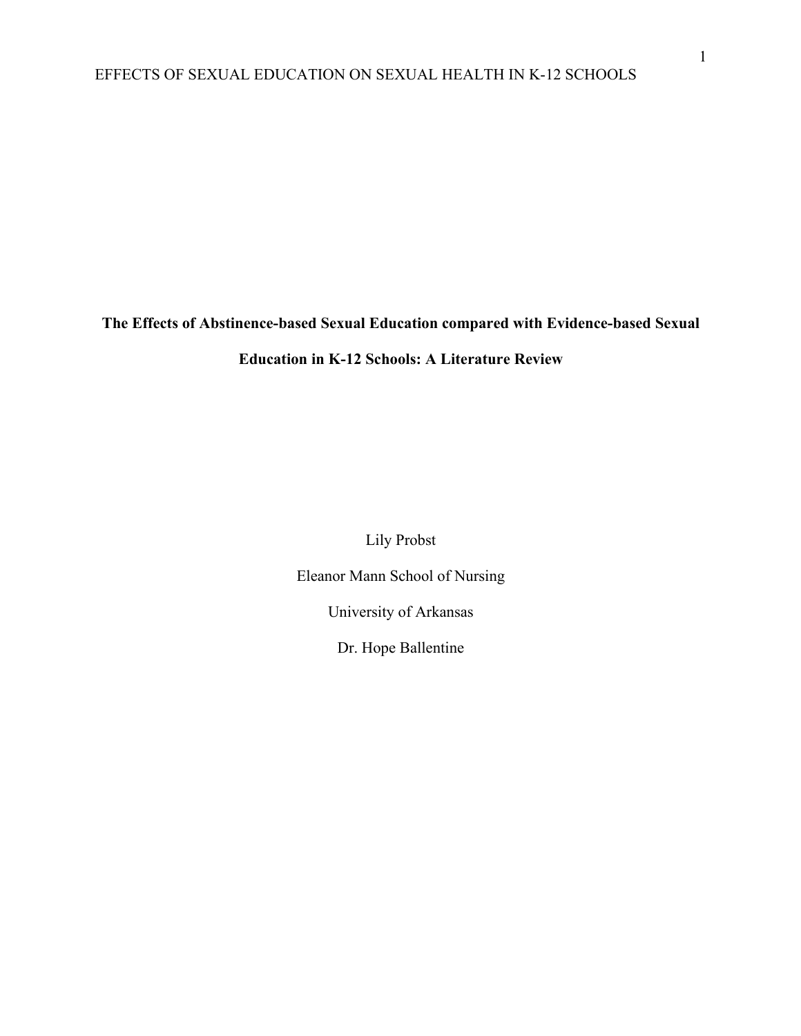**The Effects of Abstinence-based Sexual Education compared with Evidence-based Sexual Education in K-12 Schools: A Literature Review**

Lily Probst

Eleanor Mann School of Nursing

University of Arkansas

Dr. Hope Ballentine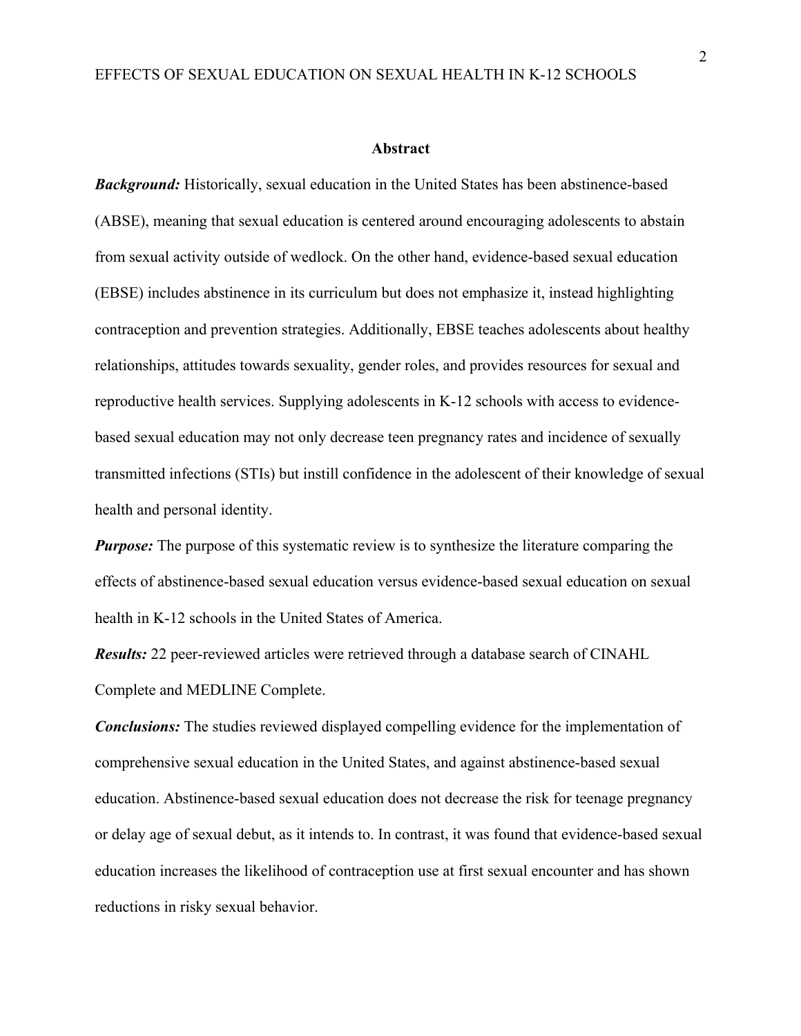#### **Abstract**

*Background:* Historically, sexual education in the United States has been abstinence-based (ABSE), meaning that sexual education is centered around encouraging adolescents to abstain from sexual activity outside of wedlock. On the other hand, evidence-based sexual education (EBSE) includes abstinence in its curriculum but does not emphasize it, instead highlighting contraception and prevention strategies. Additionally, EBSE teaches adolescents about healthy relationships, attitudes towards sexuality, gender roles, and provides resources for sexual and reproductive health services. Supplying adolescents in K-12 schools with access to evidencebased sexual education may not only decrease teen pregnancy rates and incidence of sexually transmitted infections (STIs) but instill confidence in the adolescent of their knowledge of sexual health and personal identity.

*Purpose:* The purpose of this systematic review is to synthesize the literature comparing the effects of abstinence-based sexual education versus evidence-based sexual education on sexual health in K-12 schools in the United States of America.

*Results:* 22 peer-reviewed articles were retrieved through a database search of CINAHL Complete and MEDLINE Complete.

*Conclusions:* The studies reviewed displayed compelling evidence for the implementation of comprehensive sexual education in the United States, and against abstinence-based sexual education. Abstinence-based sexual education does not decrease the risk for teenage pregnancy or delay age of sexual debut, as it intends to. In contrast, it was found that evidence-based sexual education increases the likelihood of contraception use at first sexual encounter and has shown reductions in risky sexual behavior.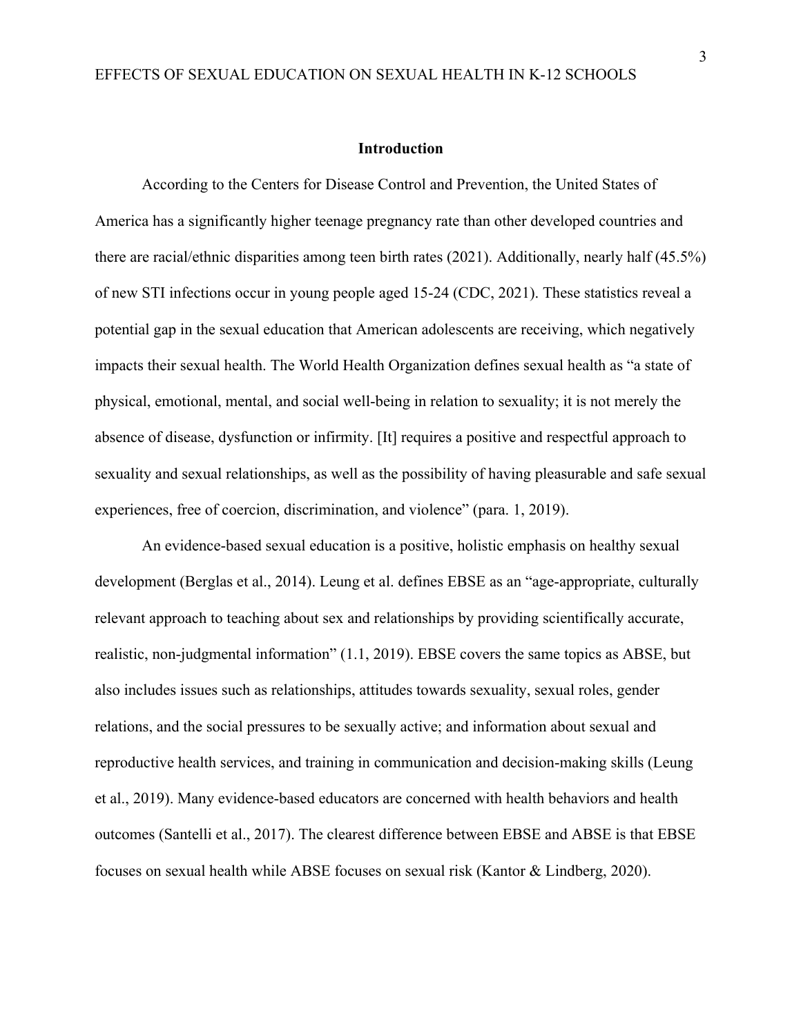#### **Introduction**

According to the Centers for Disease Control and Prevention, the United States of America has a significantly higher teenage pregnancy rate than other developed countries and there are racial/ethnic disparities among teen birth rates (2021). Additionally, nearly half (45.5%) of new STI infections occur in young people aged 15-24 (CDC, 2021). These statistics reveal a potential gap in the sexual education that American adolescents are receiving, which negatively impacts their sexual health. The World Health Organization defines sexual health as "a state of physical, emotional, mental, and social well-being in relation to sexuality; it is not merely the absence of disease, dysfunction or infirmity. [It] requires a positive and respectful approach to sexuality and sexual relationships, as well as the possibility of having pleasurable and safe sexual experiences, free of coercion, discrimination, and violence" (para. 1, 2019).

An evidence-based sexual education is a positive, holistic emphasis on healthy sexual development (Berglas et al., 2014). Leung et al. defines EBSE as an "age-appropriate, culturally relevant approach to teaching about sex and relationships by providing scientifically accurate, realistic, non-judgmental information" (1.1, 2019). EBSE covers the same topics as ABSE, but also includes issues such as relationships, attitudes towards sexuality, sexual roles, gender relations, and the social pressures to be sexually active; and information about sexual and reproductive health services, and training in communication and decision-making skills (Leung et al., 2019). Many evidence-based educators are concerned with health behaviors and health outcomes (Santelli et al., 2017). The clearest difference between EBSE and ABSE is that EBSE focuses on sexual health while ABSE focuses on sexual risk (Kantor & Lindberg, 2020).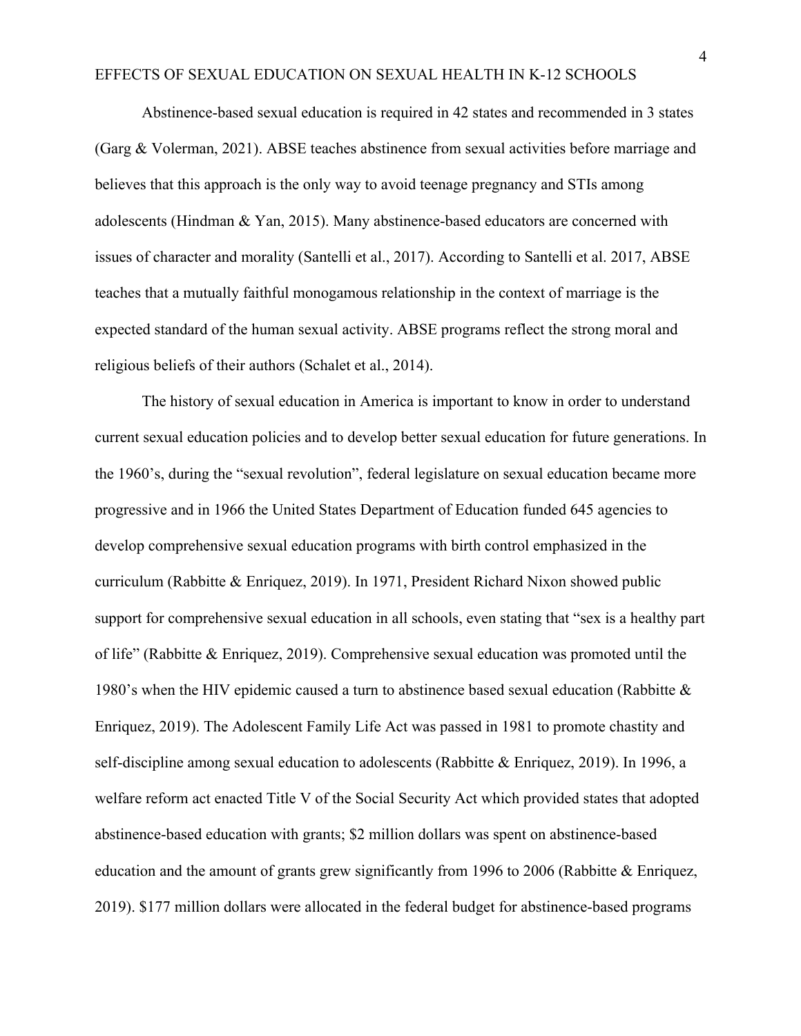Abstinence-based sexual education is required in 42 states and recommended in 3 states (Garg & Volerman, 2021). ABSE teaches abstinence from sexual activities before marriage and believes that this approach is the only way to avoid teenage pregnancy and STIs among adolescents (Hindman & Yan, 2015). Many abstinence-based educators are concerned with issues of character and morality (Santelli et al., 2017). According to Santelli et al. 2017, ABSE teaches that a mutually faithful monogamous relationship in the context of marriage is the expected standard of the human sexual activity. ABSE programs reflect the strong moral and religious beliefs of their authors (Schalet et al., 2014).

The history of sexual education in America is important to know in order to understand current sexual education policies and to develop better sexual education for future generations. In the 1960's, during the "sexual revolution", federal legislature on sexual education became more progressive and in 1966 the United States Department of Education funded 645 agencies to develop comprehensive sexual education programs with birth control emphasized in the curriculum (Rabbitte & Enriquez, 2019). In 1971, President Richard Nixon showed public support for comprehensive sexual education in all schools, even stating that "sex is a healthy part of life" (Rabbitte & Enriquez, 2019). Comprehensive sexual education was promoted until the 1980's when the HIV epidemic caused a turn to abstinence based sexual education (Rabbitte & Enriquez, 2019). The Adolescent Family Life Act was passed in 1981 to promote chastity and self-discipline among sexual education to adolescents (Rabbitte & Enriquez, 2019). In 1996, a welfare reform act enacted Title V of the Social Security Act which provided states that adopted abstinence-based education with grants; \$2 million dollars was spent on abstinence-based education and the amount of grants grew significantly from 1996 to 2006 (Rabbitte & Enriquez, 2019). \$177 million dollars were allocated in the federal budget for abstinence-based programs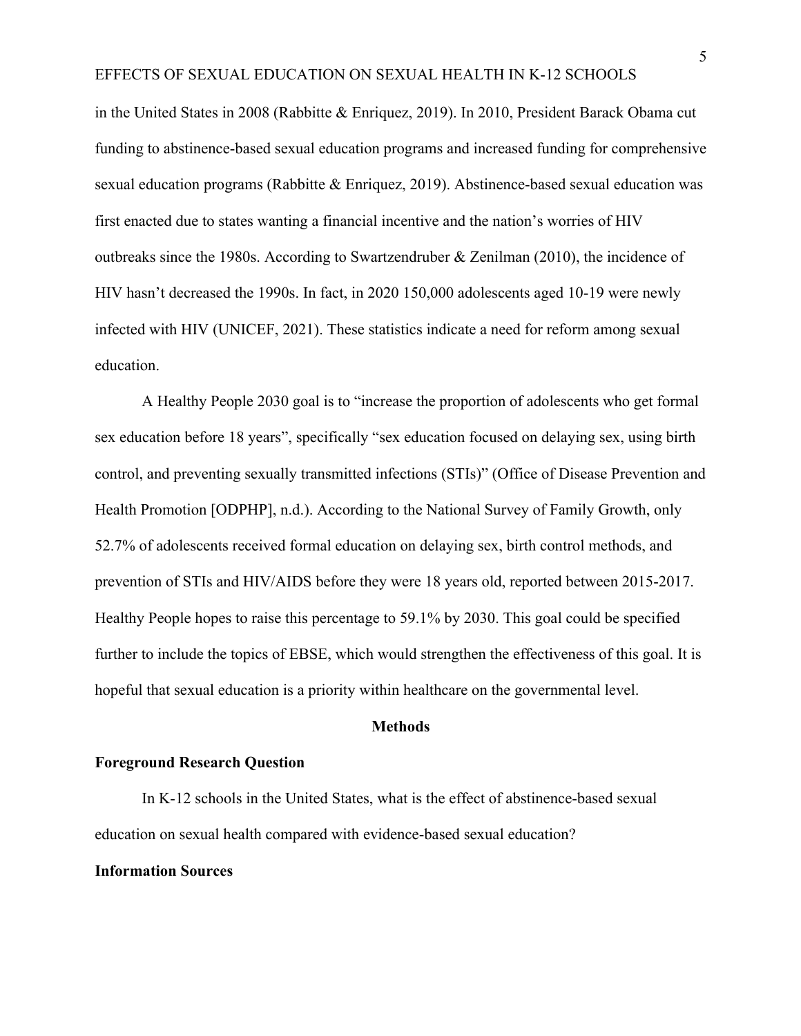in the United States in 2008 (Rabbitte & Enriquez, 2019). In 2010, President Barack Obama cut funding to abstinence-based sexual education programs and increased funding for comprehensive sexual education programs (Rabbitte & Enriquez, 2019). Abstinence-based sexual education was first enacted due to states wanting a financial incentive and the nation's worries of HIV outbreaks since the 1980s. According to Swartzendruber & Zenilman (2010), the incidence of HIV hasn't decreased the 1990s. In fact, in 2020 150,000 adolescents aged 10-19 were newly infected with HIV (UNICEF, 2021). These statistics indicate a need for reform among sexual education.

A Healthy People 2030 goal is to "increase the proportion of adolescents who get formal sex education before 18 years", specifically "sex education focused on delaying sex, using birth control, and preventing sexually transmitted infections (STIs)" (Office of Disease Prevention and Health Promotion [ODPHP], n.d.). According to the National Survey of Family Growth, only 52.7% of adolescents received formal education on delaying sex, birth control methods, and prevention of STIs and HIV/AIDS before they were 18 years old, reported between 2015-2017. Healthy People hopes to raise this percentage to 59.1% by 2030. This goal could be specified further to include the topics of EBSE, which would strengthen the effectiveness of this goal. It is hopeful that sexual education is a priority within healthcare on the governmental level.

## **Methods**

## **Foreground Research Question**

In K-12 schools in the United States, what is the effect of abstinence-based sexual education on sexual health compared with evidence-based sexual education?

## **Information Sources**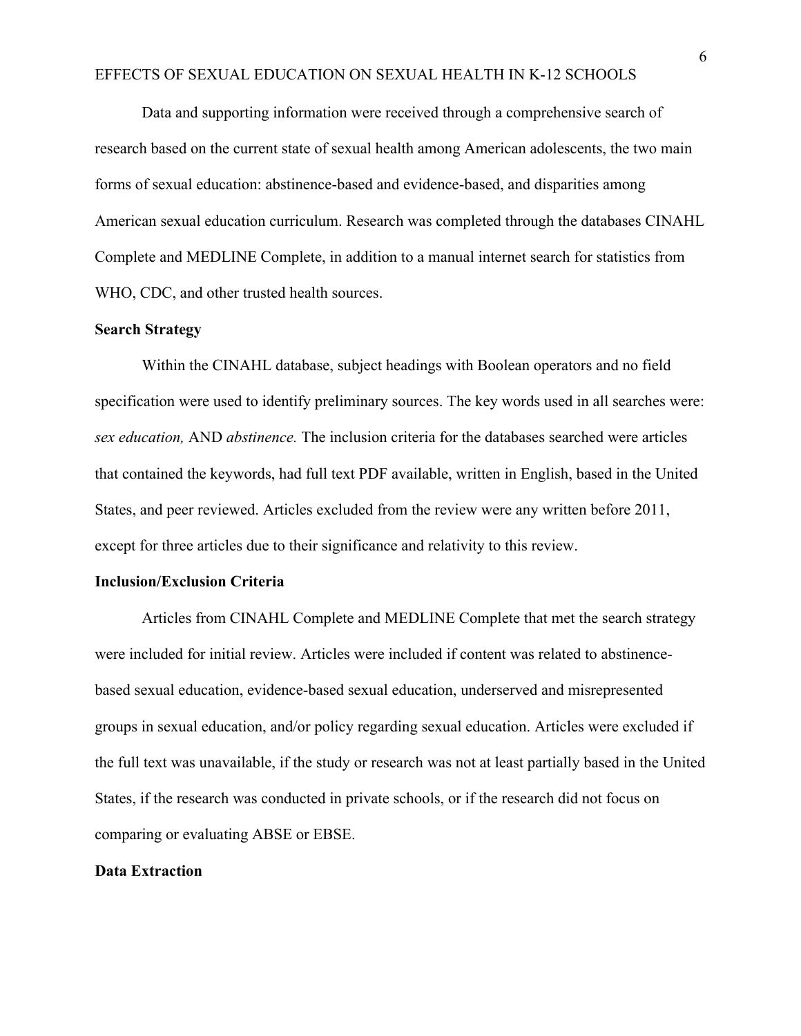Data and supporting information were received through a comprehensive search of research based on the current state of sexual health among American adolescents, the two main forms of sexual education: abstinence-based and evidence-based, and disparities among American sexual education curriculum. Research was completed through the databases CINAHL Complete and MEDLINE Complete, in addition to a manual internet search for statistics from WHO, CDC, and other trusted health sources.

## **Search Strategy**

Within the CINAHL database, subject headings with Boolean operators and no field specification were used to identify preliminary sources. The key words used in all searches were: *sex education,* AND *abstinence.* The inclusion criteria for the databases searched were articles that contained the keywords, had full text PDF available, written in English, based in the United States, and peer reviewed. Articles excluded from the review were any written before 2011, except for three articles due to their significance and relativity to this review.

#### **Inclusion/Exclusion Criteria**

Articles from CINAHL Complete and MEDLINE Complete that met the search strategy were included for initial review. Articles were included if content was related to abstinencebased sexual education, evidence-based sexual education, underserved and misrepresented groups in sexual education, and/or policy regarding sexual education. Articles were excluded if the full text was unavailable, if the study or research was not at least partially based in the United States, if the research was conducted in private schools, or if the research did not focus on comparing or evaluating ABSE or EBSE.

## **Data Extraction**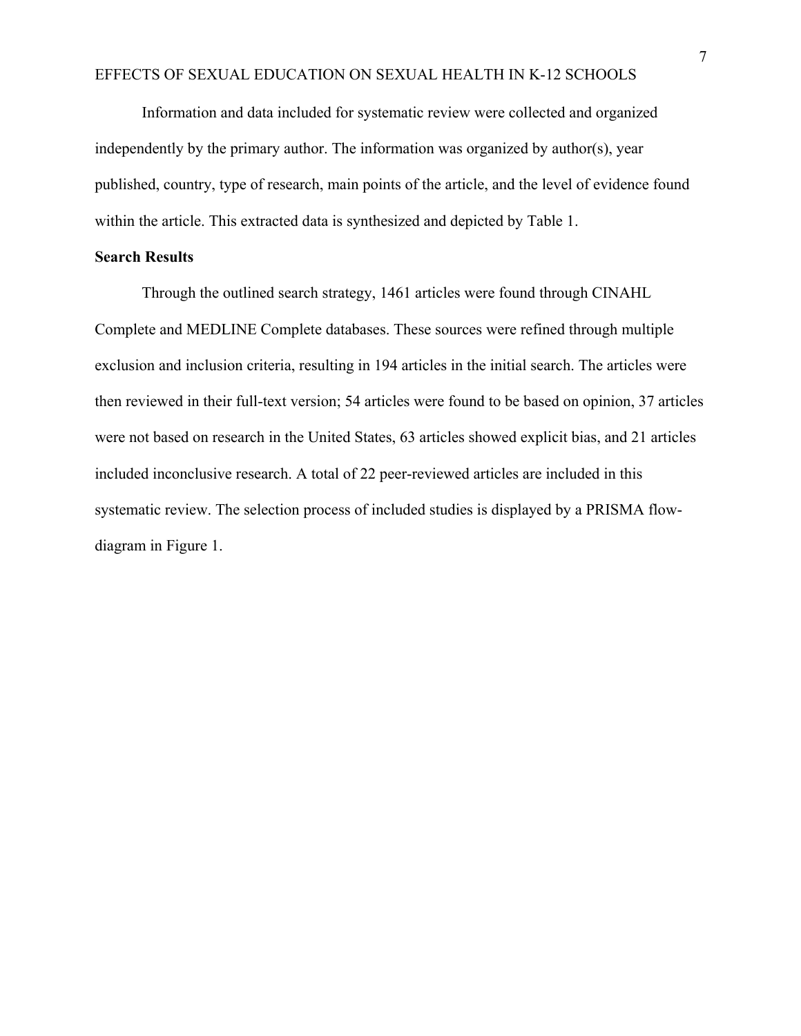Information and data included for systematic review were collected and organized independently by the primary author. The information was organized by author(s), year published, country, type of research, main points of the article, and the level of evidence found within the article. This extracted data is synthesized and depicted by Table 1.

## **Search Results**

Through the outlined search strategy, 1461 articles were found through CINAHL Complete and MEDLINE Complete databases. These sources were refined through multiple exclusion and inclusion criteria, resulting in 194 articles in the initial search. The articles were then reviewed in their full-text version; 54 articles were found to be based on opinion, 37 articles were not based on research in the United States, 63 articles showed explicit bias, and 21 articles included inconclusive research. A total of 22 peer-reviewed articles are included in this systematic review. The selection process of included studies is displayed by a PRISMA flowdiagram in Figure 1.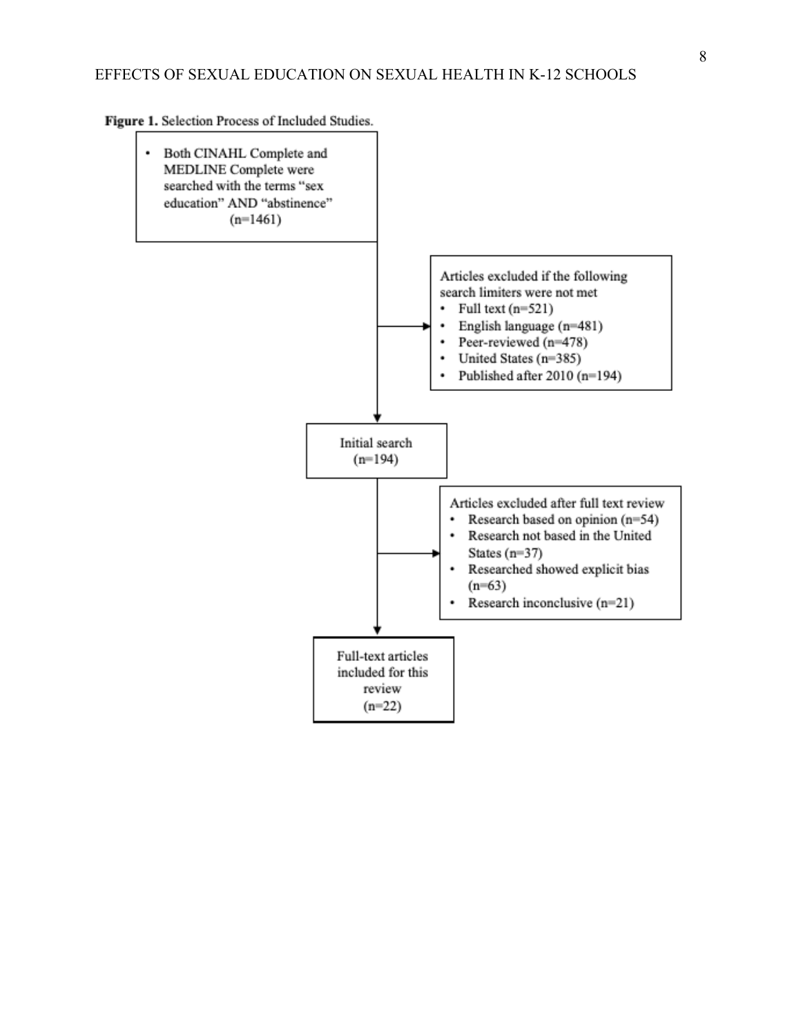Figure 1. Selection Process of Included Studies.

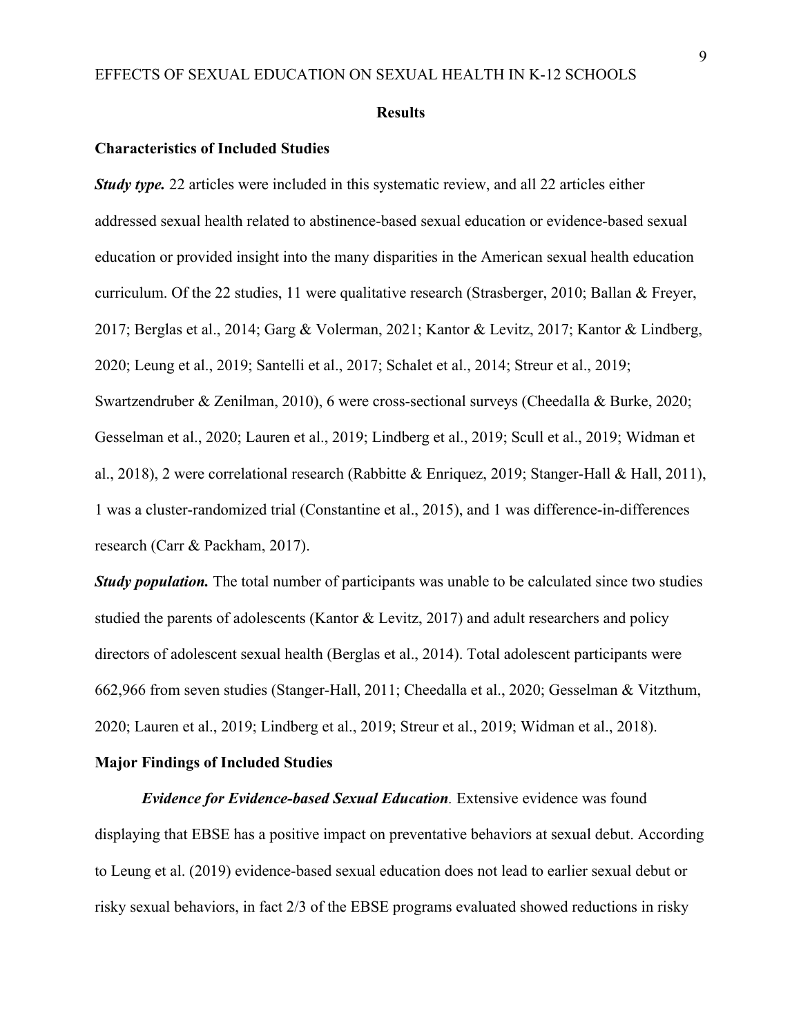#### **Results**

#### **Characteristics of Included Studies**

*Study type.* 22 articles were included in this systematic review, and all 22 articles either addressed sexual health related to abstinence-based sexual education or evidence-based sexual education or provided insight into the many disparities in the American sexual health education curriculum. Of the 22 studies, 11 were qualitative research (Strasberger, 2010; Ballan & Freyer, 2017; Berglas et al., 2014; Garg & Volerman, 2021; Kantor & Levitz, 2017; Kantor & Lindberg, 2020; Leung et al., 2019; Santelli et al., 2017; Schalet et al., 2014; Streur et al., 2019; Swartzendruber & Zenilman, 2010), 6 were cross-sectional surveys (Cheedalla & Burke, 2020; Gesselman et al., 2020; Lauren et al., 2019; Lindberg et al., 2019; Scull et al., 2019; Widman et al., 2018), 2 were correlational research (Rabbitte & Enriquez, 2019; Stanger-Hall & Hall, 2011), 1 was a cluster-randomized trial (Constantine et al., 2015), and 1 was difference-in-differences research (Carr & Packham, 2017).

*Study population.* The total number of participants was unable to be calculated since two studies studied the parents of adolescents (Kantor & Levitz, 2017) and adult researchers and policy directors of adolescent sexual health (Berglas et al., 2014). Total adolescent participants were 662,966 from seven studies (Stanger-Hall, 2011; Cheedalla et al., 2020; Gesselman & Vitzthum, 2020; Lauren et al., 2019; Lindberg et al., 2019; Streur et al., 2019; Widman et al., 2018).

## **Major Findings of Included Studies**

*Evidence for Evidence-based Sexual Education.* Extensive evidence was found displaying that EBSE has a positive impact on preventative behaviors at sexual debut. According to Leung et al. (2019) evidence-based sexual education does not lead to earlier sexual debut or risky sexual behaviors, in fact 2/3 of the EBSE programs evaluated showed reductions in risky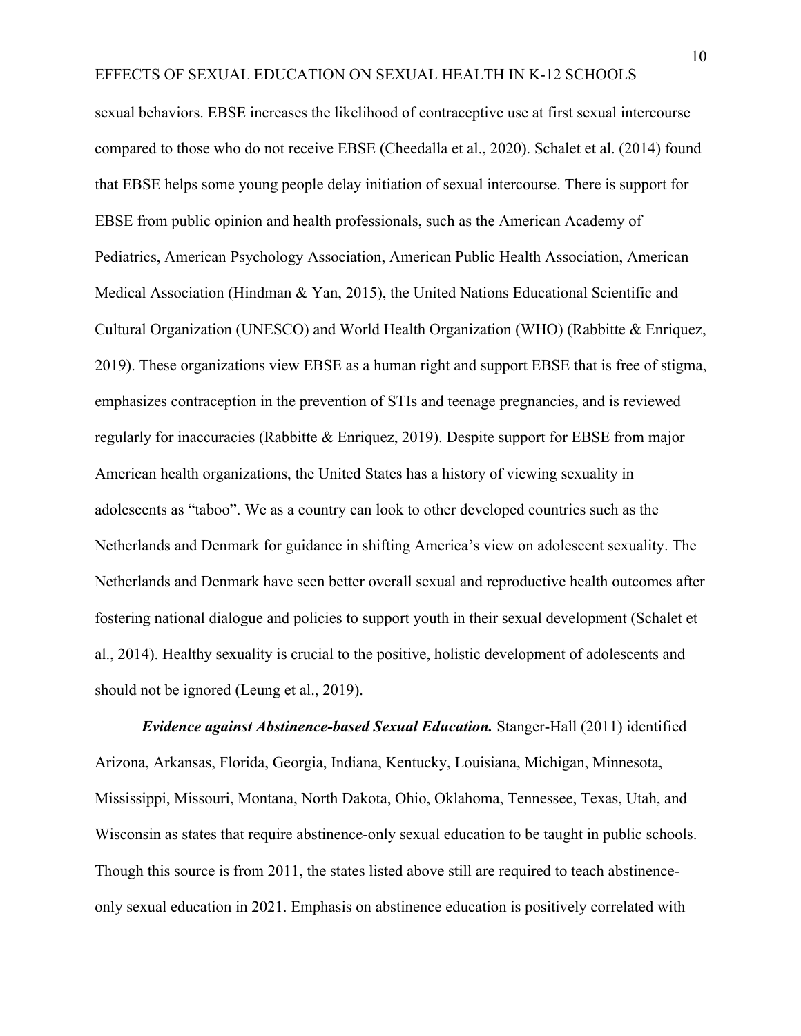sexual behaviors. EBSE increases the likelihood of contraceptive use at first sexual intercourse compared to those who do not receive EBSE (Cheedalla et al., 2020). Schalet et al. (2014) found that EBSE helps some young people delay initiation of sexual intercourse. There is support for EBSE from public opinion and health professionals, such as the American Academy of Pediatrics, American Psychology Association, American Public Health Association, American Medical Association (Hindman & Yan, 2015), the United Nations Educational Scientific and Cultural Organization (UNESCO) and World Health Organization (WHO) (Rabbitte & Enriquez, 2019). These organizations view EBSE as a human right and support EBSE that is free of stigma, emphasizes contraception in the prevention of STIs and teenage pregnancies, and is reviewed regularly for inaccuracies (Rabbitte & Enriquez, 2019). Despite support for EBSE from major American health organizations, the United States has a history of viewing sexuality in adolescents as "taboo". We as a country can look to other developed countries such as the Netherlands and Denmark for guidance in shifting America's view on adolescent sexuality. The Netherlands and Denmark have seen better overall sexual and reproductive health outcomes after fostering national dialogue and policies to support youth in their sexual development (Schalet et al., 2014). Healthy sexuality is crucial to the positive, holistic development of adolescents and should not be ignored (Leung et al., 2019).

*Evidence against Abstinence-based Sexual Education.* Stanger-Hall (2011) identified Arizona, Arkansas, Florida, Georgia, Indiana, Kentucky, Louisiana, Michigan, Minnesota, Mississippi, Missouri, Montana, North Dakota, Ohio, Oklahoma, Tennessee, Texas, Utah, and Wisconsin as states that require abstinence-only sexual education to be taught in public schools. Though this source is from 2011, the states listed above still are required to teach abstinenceonly sexual education in 2021. Emphasis on abstinence education is positively correlated with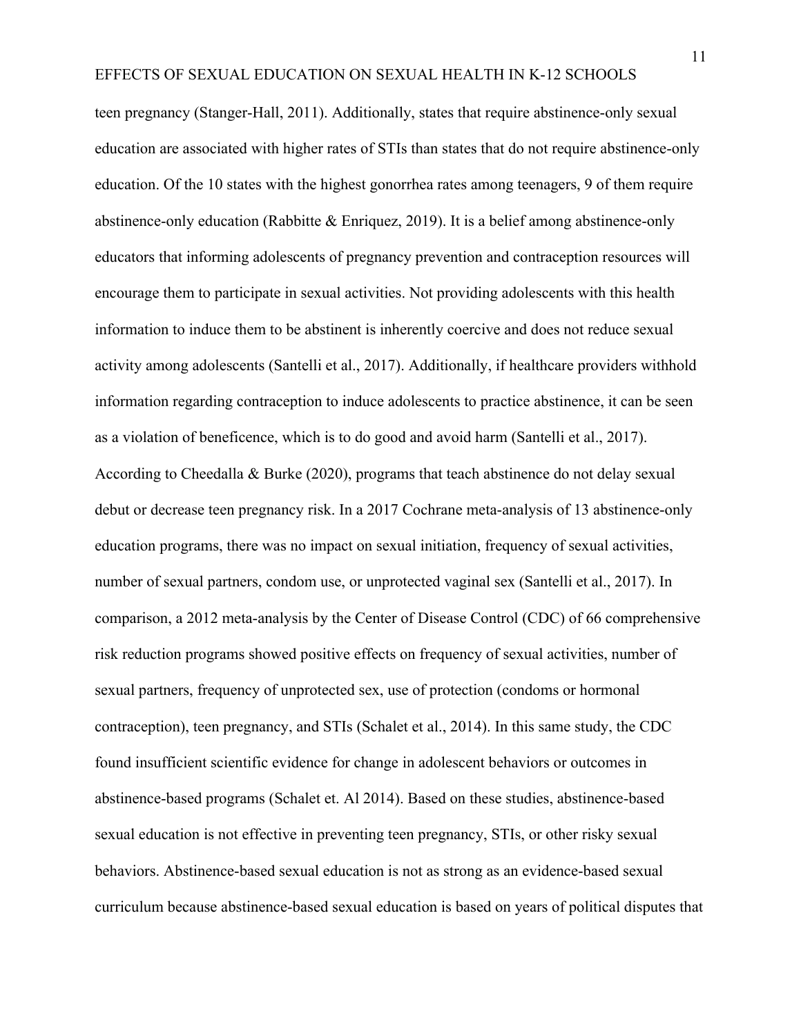teen pregnancy (Stanger-Hall, 2011). Additionally, states that require abstinence-only sexual education are associated with higher rates of STIs than states that do not require abstinence-only education. Of the 10 states with the highest gonorrhea rates among teenagers, 9 of them require abstinence-only education (Rabbitte & Enriquez, 2019). It is a belief among abstinence-only educators that informing adolescents of pregnancy prevention and contraception resources will encourage them to participate in sexual activities. Not providing adolescents with this health information to induce them to be abstinent is inherently coercive and does not reduce sexual activity among adolescents (Santelli et al., 2017). Additionally, if healthcare providers withhold information regarding contraception to induce adolescents to practice abstinence, it can be seen as a violation of beneficence, which is to do good and avoid harm (Santelli et al., 2017). According to Cheedalla & Burke (2020), programs that teach abstinence do not delay sexual debut or decrease teen pregnancy risk. In a 2017 Cochrane meta-analysis of 13 abstinence-only education programs, there was no impact on sexual initiation, frequency of sexual activities, number of sexual partners, condom use, or unprotected vaginal sex (Santelli et al., 2017). In comparison, a 2012 meta-analysis by the Center of Disease Control (CDC) of 66 comprehensive risk reduction programs showed positive effects on frequency of sexual activities, number of sexual partners, frequency of unprotected sex, use of protection (condoms or hormonal contraception), teen pregnancy, and STIs (Schalet et al., 2014). In this same study, the CDC found insufficient scientific evidence for change in adolescent behaviors or outcomes in abstinence-based programs (Schalet et. Al 2014). Based on these studies, abstinence-based sexual education is not effective in preventing teen pregnancy, STIs, or other risky sexual behaviors. Abstinence-based sexual education is not as strong as an evidence-based sexual curriculum because abstinence-based sexual education is based on years of political disputes that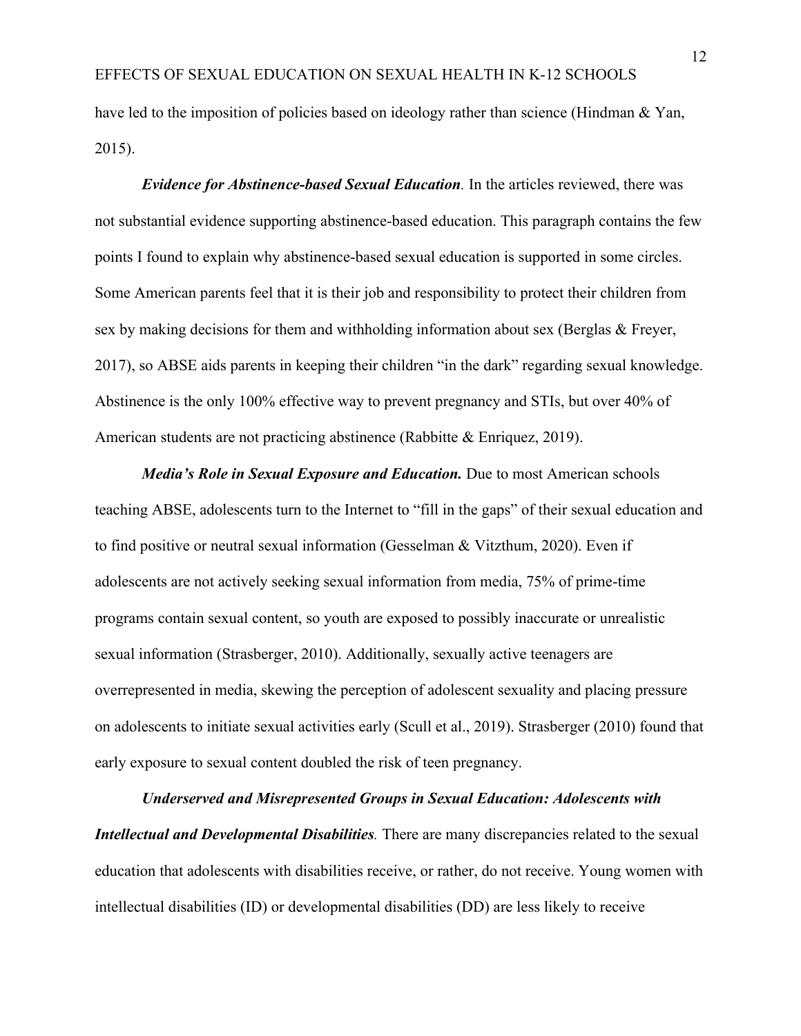have led to the imposition of policies based on ideology rather than science (Hindman & Yan, 2015).

*Evidence for Abstinence-based Sexual Education.* In the articles reviewed, there was not substantial evidence supporting abstinence-based education. This paragraph contains the few points I found to explain why abstinence-based sexual education is supported in some circles. Some American parents feel that it is their job and responsibility to protect their children from sex by making decisions for them and withholding information about sex (Berglas  $\&$  Freyer, 2017), so ABSE aids parents in keeping their children "in the dark" regarding sexual knowledge. Abstinence is the only 100% effective way to prevent pregnancy and STIs, but over 40% of American students are not practicing abstinence (Rabbitte & Enriquez, 2019).

*Media's Role in Sexual Exposure and Education.* Due to most American schools teaching ABSE, adolescents turn to the Internet to "fill in the gaps" of their sexual education and to find positive or neutral sexual information (Gesselman & Vitzthum, 2020). Even if adolescents are not actively seeking sexual information from media, 75% of prime-time programs contain sexual content, so youth are exposed to possibly inaccurate or unrealistic sexual information (Strasberger, 2010). Additionally, sexually active teenagers are overrepresented in media, skewing the perception of adolescent sexuality and placing pressure on adolescents to initiate sexual activities early (Scull et al., 2019). Strasberger (2010) found that early exposure to sexual content doubled the risk of teen pregnancy.

*Underserved and Misrepresented Groups in Sexual Education: Adolescents with Intellectual and Developmental Disabilities*. There are many discrepancies related to the sexual education that adolescents with disabilities receive, or rather, do not receive. Young women with intellectual disabilities (ID) or developmental disabilities (DD) are less likely to receive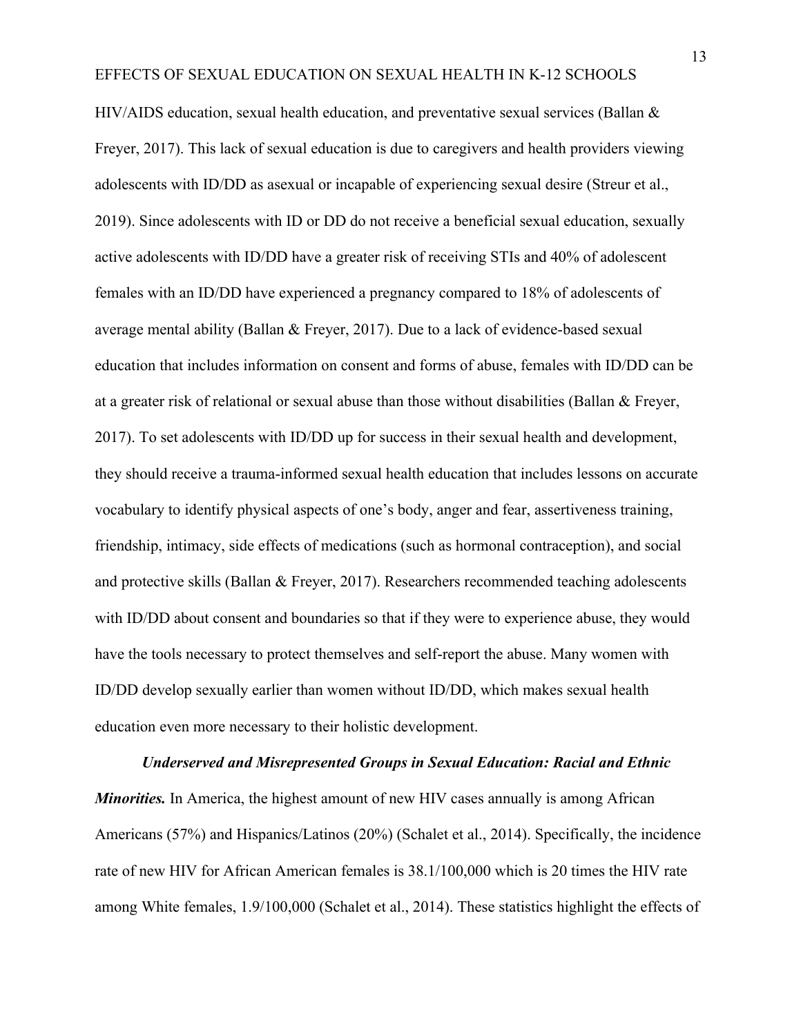HIV/AIDS education, sexual health education, and preventative sexual services (Ballan & Freyer, 2017). This lack of sexual education is due to caregivers and health providers viewing adolescents with ID/DD as asexual or incapable of experiencing sexual desire (Streur et al., 2019). Since adolescents with ID or DD do not receive a beneficial sexual education, sexually active adolescents with ID/DD have a greater risk of receiving STIs and 40% of adolescent females with an ID/DD have experienced a pregnancy compared to 18% of adolescents of average mental ability (Ballan & Freyer, 2017). Due to a lack of evidence-based sexual education that includes information on consent and forms of abuse, females with ID/DD can be at a greater risk of relational or sexual abuse than those without disabilities (Ballan & Freyer, 2017). To set adolescents with ID/DD up for success in their sexual health and development, they should receive a trauma-informed sexual health education that includes lessons on accurate vocabulary to identify physical aspects of one's body, anger and fear, assertiveness training, friendship, intimacy, side effects of medications (such as hormonal contraception), and social and protective skills (Ballan & Freyer, 2017). Researchers recommended teaching adolescents with ID/DD about consent and boundaries so that if they were to experience abuse, they would have the tools necessary to protect themselves and self-report the abuse. Many women with ID/DD develop sexually earlier than women without ID/DD, which makes sexual health education even more necessary to their holistic development.

## *Underserved and Misrepresented Groups in Sexual Education: Racial and Ethnic*

*Minorities.* In America, the highest amount of new HIV cases annually is among African Americans (57%) and Hispanics/Latinos (20%) (Schalet et al., 2014). Specifically, the incidence rate of new HIV for African American females is 38.1/100,000 which is 20 times the HIV rate among White females, 1.9/100,000 (Schalet et al., 2014). These statistics highlight the effects of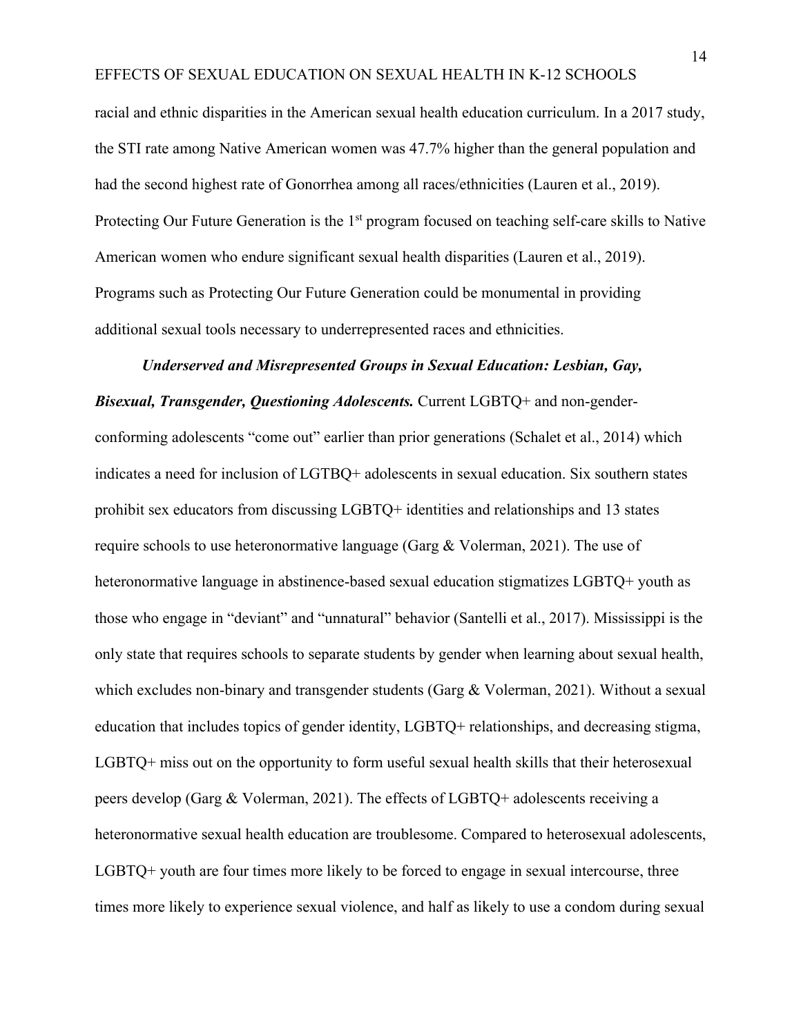racial and ethnic disparities in the American sexual health education curriculum. In a 2017 study, the STI rate among Native American women was 47.7% higher than the general population and had the second highest rate of Gonorrhea among all races/ethnicities (Lauren et al., 2019). Protecting Our Future Generation is the  $1<sup>st</sup>$  program focused on teaching self-care skills to Native American women who endure significant sexual health disparities (Lauren et al., 2019). Programs such as Protecting Our Future Generation could be monumental in providing additional sexual tools necessary to underrepresented races and ethnicities.

## *Underserved and Misrepresented Groups in Sexual Education: Lesbian, Gay,*

*Bisexual, Transgender, Questioning Adolescents.* Current LGBTQ+ and non-genderconforming adolescents "come out" earlier than prior generations (Schalet et al., 2014) which indicates a need for inclusion of LGTBQ+ adolescents in sexual education. Six southern states prohibit sex educators from discussing LGBTQ+ identities and relationships and 13 states require schools to use heteronormative language (Garg & Volerman, 2021). The use of heteronormative language in abstinence-based sexual education stigmatizes LGBTQ+ youth as those who engage in "deviant" and "unnatural" behavior (Santelli et al., 2017). Mississippi is the only state that requires schools to separate students by gender when learning about sexual health, which excludes non-binary and transgender students (Garg & Volerman, 2021). Without a sexual education that includes topics of gender identity, LGBTQ+ relationships, and decreasing stigma, LGBTQ+ miss out on the opportunity to form useful sexual health skills that their heterosexual peers develop (Garg & Volerman, 2021). The effects of LGBTQ+ adolescents receiving a heteronormative sexual health education are troublesome. Compared to heterosexual adolescents, LGBTQ+ youth are four times more likely to be forced to engage in sexual intercourse, three times more likely to experience sexual violence, and half as likely to use a condom during sexual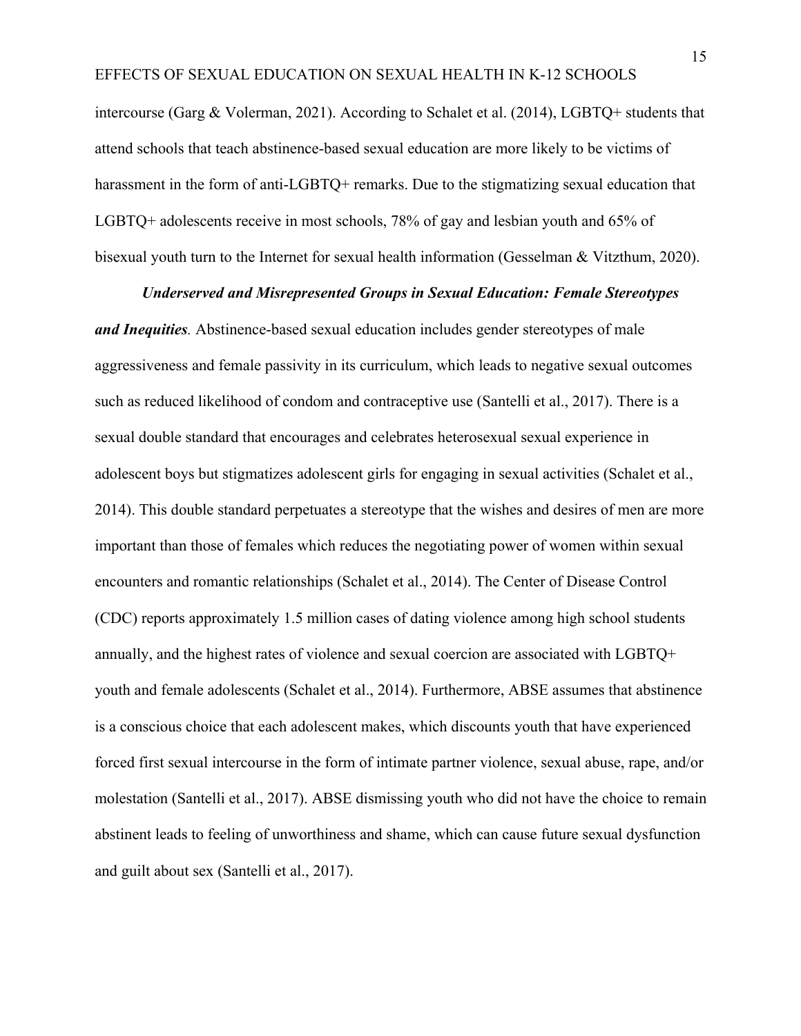intercourse (Garg & Volerman, 2021). According to Schalet et al. (2014), LGBTQ+ students that attend schools that teach abstinence-based sexual education are more likely to be victims of harassment in the form of anti-LGBTQ+ remarks. Due to the stigmatizing sexual education that LGBTQ+ adolescents receive in most schools, 78% of gay and lesbian youth and 65% of bisexual youth turn to the Internet for sexual health information (Gesselman & Vitzthum, 2020).

## *Underserved and Misrepresented Groups in Sexual Education: Female Stereotypes*

*and Inequities.* Abstinence-based sexual education includes gender stereotypes of male aggressiveness and female passivity in its curriculum, which leads to negative sexual outcomes such as reduced likelihood of condom and contraceptive use (Santelli et al., 2017). There is a sexual double standard that encourages and celebrates heterosexual sexual experience in adolescent boys but stigmatizes adolescent girls for engaging in sexual activities (Schalet et al., 2014). This double standard perpetuates a stereotype that the wishes and desires of men are more important than those of females which reduces the negotiating power of women within sexual encounters and romantic relationships (Schalet et al., 2014). The Center of Disease Control (CDC) reports approximately 1.5 million cases of dating violence among high school students annually, and the highest rates of violence and sexual coercion are associated with LGBTQ+ youth and female adolescents (Schalet et al., 2014). Furthermore, ABSE assumes that abstinence is a conscious choice that each adolescent makes, which discounts youth that have experienced forced first sexual intercourse in the form of intimate partner violence, sexual abuse, rape, and/or molestation (Santelli et al., 2017). ABSE dismissing youth who did not have the choice to remain abstinent leads to feeling of unworthiness and shame, which can cause future sexual dysfunction and guilt about sex (Santelli et al., 2017).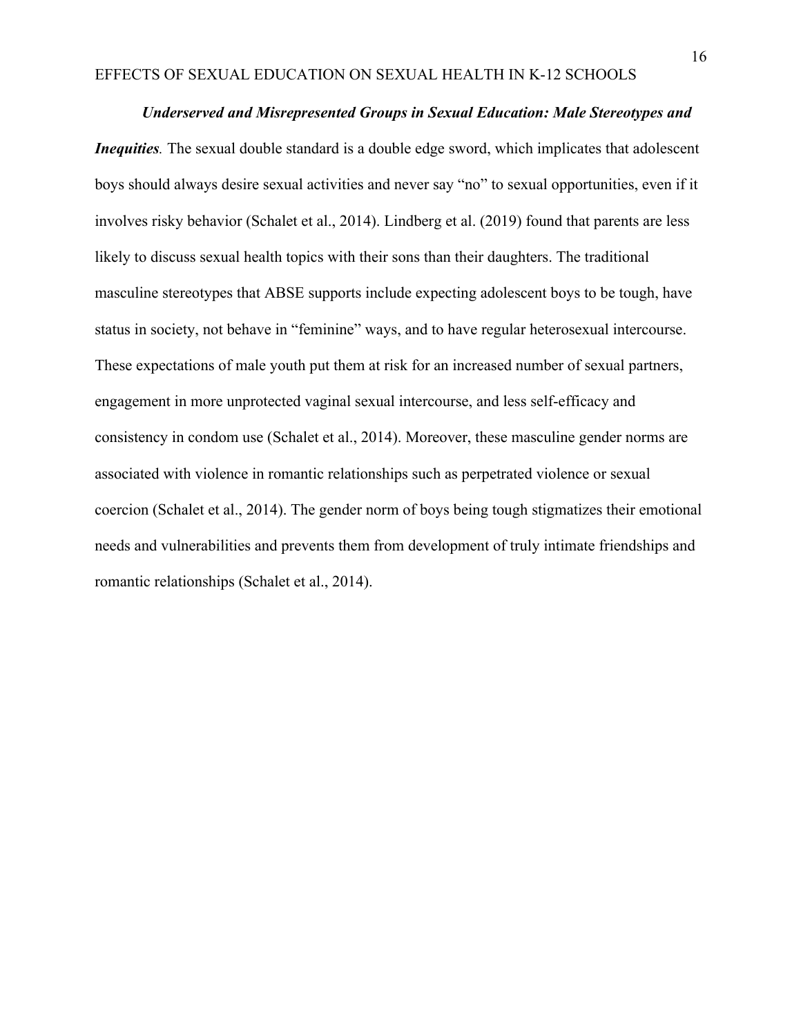## *Underserved and Misrepresented Groups in Sexual Education: Male Stereotypes and*

*Inequities*. The sexual double standard is a double edge sword, which implicates that adolescent boys should always desire sexual activities and never say "no" to sexual opportunities, even if it involves risky behavior (Schalet et al., 2014). Lindberg et al. (2019) found that parents are less likely to discuss sexual health topics with their sons than their daughters. The traditional masculine stereotypes that ABSE supports include expecting adolescent boys to be tough, have status in society, not behave in "feminine" ways, and to have regular heterosexual intercourse. These expectations of male youth put them at risk for an increased number of sexual partners, engagement in more unprotected vaginal sexual intercourse, and less self-efficacy and consistency in condom use (Schalet et al., 2014). Moreover, these masculine gender norms are associated with violence in romantic relationships such as perpetrated violence or sexual coercion (Schalet et al., 2014). The gender norm of boys being tough stigmatizes their emotional needs and vulnerabilities and prevents them from development of truly intimate friendships and romantic relationships (Schalet et al., 2014).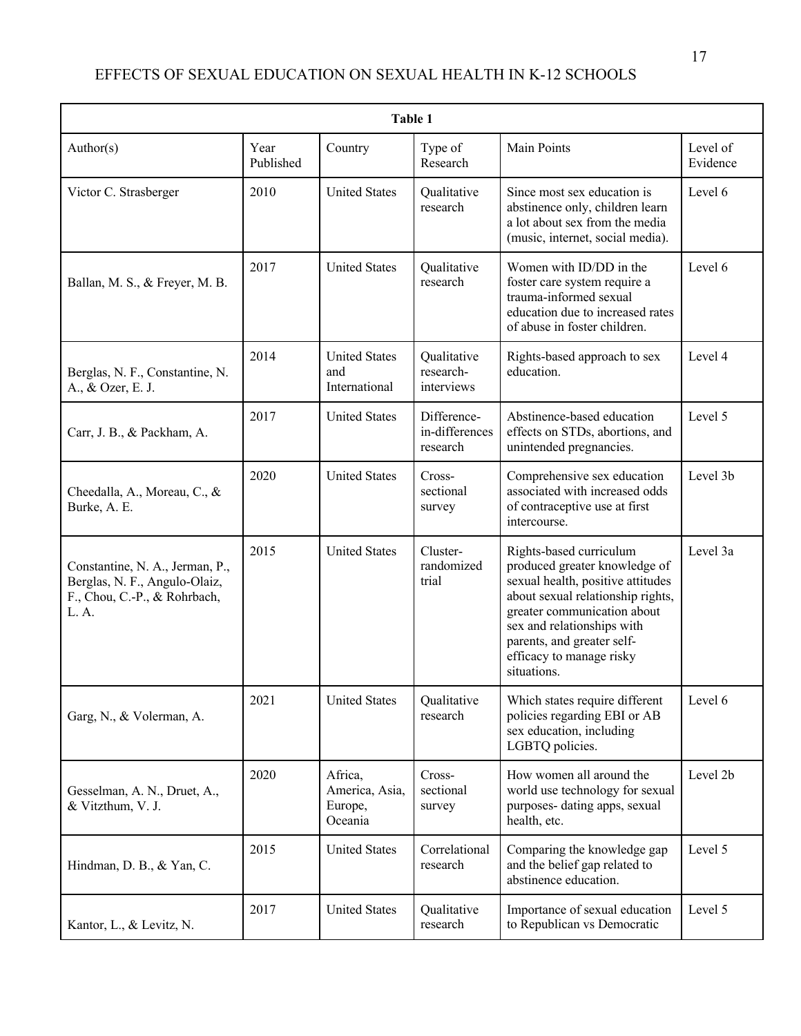| Table 1                                                                                                   |                   |                                                 |                                           |                                                                                                                                                                                                                                                                          |                      |  |  |  |
|-----------------------------------------------------------------------------------------------------------|-------------------|-------------------------------------------------|-------------------------------------------|--------------------------------------------------------------------------------------------------------------------------------------------------------------------------------------------------------------------------------------------------------------------------|----------------------|--|--|--|
| Author(s)                                                                                                 | Year<br>Published | Country                                         | Type of<br>Research                       | <b>Main Points</b>                                                                                                                                                                                                                                                       | Level of<br>Evidence |  |  |  |
| Victor C. Strasberger                                                                                     | 2010              | <b>United States</b>                            | Qualitative<br>research                   | Since most sex education is<br>abstinence only, children learn<br>a lot about sex from the media<br>(music, internet, social media).                                                                                                                                     | Level 6              |  |  |  |
| Ballan, M. S., & Freyer, M. B.                                                                            | 2017              | <b>United States</b>                            | Oualitative<br>research                   | Women with ID/DD in the<br>foster care system require a<br>trauma-informed sexual<br>education due to increased rates<br>of abuse in foster children.                                                                                                                    | Level 6              |  |  |  |
| Berglas, N. F., Constantine, N.<br>A., & Ozer, E. J.                                                      | 2014              | <b>United States</b><br>and<br>International    | Qualitative<br>research-<br>interviews    | Rights-based approach to sex<br>education.                                                                                                                                                                                                                               | Level 4              |  |  |  |
| Carr, J. B., & Packham, A.                                                                                | 2017              | <b>United States</b>                            | Difference-<br>in-differences<br>research | Abstinence-based education<br>effects on STDs, abortions, and<br>unintended pregnancies.                                                                                                                                                                                 | Level 5              |  |  |  |
| Cheedalla, A., Moreau, C., &<br>Burke, A. E.                                                              | 2020              | <b>United States</b>                            | Cross-<br>sectional<br>survey             | Comprehensive sex education<br>associated with increased odds<br>of contraceptive use at first<br>intercourse.                                                                                                                                                           | Level 3b             |  |  |  |
| Constantine, N. A., Jerman, P.,<br>Berglas, N. F., Angulo-Olaiz,<br>F., Chou, C.-P., & Rohrbach,<br>L. A. | 2015              | <b>United States</b>                            | Cluster-<br>randomized<br>trial           | Rights-based curriculum<br>produced greater knowledge of<br>sexual health, positive attitudes<br>about sexual relationship rights,<br>greater communication about<br>sex and relationships with<br>parents, and greater self-<br>efficacy to manage risky<br>situations. | Level 3a             |  |  |  |
| Garg, N., & Volerman, A.                                                                                  | 2021              | <b>United States</b>                            | Qualitative<br>research                   | Which states require different<br>policies regarding EBI or AB<br>sex education, including<br>LGBTQ policies.                                                                                                                                                            | Level 6              |  |  |  |
| Gesselman, A. N., Druet, A.,<br>& Vitzthum, V. J.                                                         | 2020              | Africa,<br>America, Asia,<br>Europe,<br>Oceania | Cross-<br>sectional<br>survey             | How women all around the<br>world use technology for sexual<br>purposes- dating apps, sexual<br>health, etc.                                                                                                                                                             | Level 2b             |  |  |  |
| Hindman, D. B., & Yan, C.                                                                                 | 2015              | <b>United States</b>                            | Correlational<br>research                 | Comparing the knowledge gap<br>and the belief gap related to<br>abstinence education.                                                                                                                                                                                    | Level 5              |  |  |  |
| Kantor, L., & Levitz, N.                                                                                  | 2017              | <b>United States</b>                            | Qualitative<br>research                   | Importance of sexual education<br>to Republican vs Democratic                                                                                                                                                                                                            | Level 5              |  |  |  |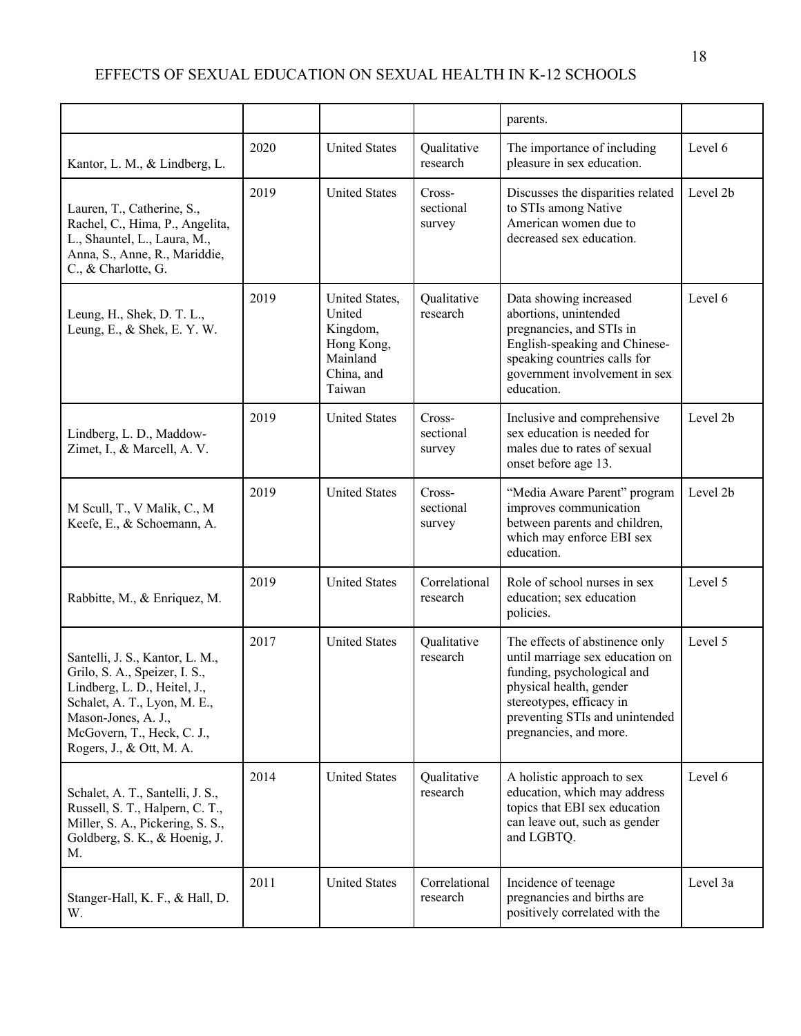|                                                                                                                                                                                                                   |      |                                                                                        |                               | parents.                                                                                                                                                                                                           |          |
|-------------------------------------------------------------------------------------------------------------------------------------------------------------------------------------------------------------------|------|----------------------------------------------------------------------------------------|-------------------------------|--------------------------------------------------------------------------------------------------------------------------------------------------------------------------------------------------------------------|----------|
| Kantor, L. M., & Lindberg, L.                                                                                                                                                                                     | 2020 | <b>United States</b>                                                                   | Qualitative<br>research       | The importance of including<br>pleasure in sex education.                                                                                                                                                          | Level 6  |
| Lauren, T., Catherine, S.,<br>Rachel, C., Hima, P., Angelita,<br>L., Shauntel, L., Laura, M.,<br>Anna, S., Anne, R., Mariddie,<br>C., & Charlotte, G.                                                             | 2019 | <b>United States</b>                                                                   | Cross-<br>sectional<br>survey | Discusses the disparities related<br>to STIs among Native<br>American women due to<br>decreased sex education.                                                                                                     | Level 2b |
| Leung, H., Shek, D. T. L.,<br>Leung, E., & Shek, E. Y. W.                                                                                                                                                         | 2019 | United States,<br>United<br>Kingdom,<br>Hong Kong,<br>Mainland<br>China, and<br>Taiwan | Qualitative<br>research       | Data showing increased<br>abortions, unintended<br>pregnancies, and STIs in<br>English-speaking and Chinese-<br>speaking countries calls for<br>government involvement in sex<br>education.                        | Level 6  |
| Lindberg, L. D., Maddow-<br>Zimet, I., & Marcell, A. V.                                                                                                                                                           | 2019 | <b>United States</b>                                                                   | Cross-<br>sectional<br>survey | Inclusive and comprehensive<br>sex education is needed for<br>males due to rates of sexual<br>onset before age 13.                                                                                                 | Level 2b |
| M Scull, T., V Malik, C., M<br>Keefe, E., & Schoemann, A.                                                                                                                                                         | 2019 | <b>United States</b>                                                                   | Cross-<br>sectional<br>survey | "Media Aware Parent" program<br>improves communication<br>between parents and children,<br>which may enforce EBI sex<br>education.                                                                                 | Level 2b |
| Rabbitte, M., & Enriquez, M.                                                                                                                                                                                      | 2019 | <b>United States</b>                                                                   | Correlational<br>research     | Role of school nurses in sex<br>education; sex education<br>policies.                                                                                                                                              | Level 5  |
| Santelli, J. S., Kantor, L. M.,<br>Grilo, S. A., Speizer, I. S.,<br>Lindberg, L. D., Heitel, J.,<br>Schalet, A. T., Lyon, M. E.,<br>Mason-Jones, A. J.,<br>McGovern, T., Heck, C. J.,<br>Rogers, J., & Ott, M. A. | 2017 | <b>United States</b>                                                                   | Qualitative<br>research       | The effects of abstinence only<br>until marriage sex education on<br>funding, psychological and<br>physical health, gender<br>stereotypes, efficacy in<br>preventing STIs and unintended<br>pregnancies, and more. | Level 5  |
| Schalet, A. T., Santelli, J. S.,<br>Russell, S. T., Halpern, C. T.,<br>Miller, S. A., Pickering, S. S.,<br>Goldberg, S. K., & Hoenig, J.<br>М.                                                                    | 2014 | <b>United States</b>                                                                   | Qualitative<br>research       | A holistic approach to sex<br>education, which may address<br>topics that EBI sex education<br>can leave out, such as gender<br>and LGBTQ.                                                                         | Level 6  |
| Stanger-Hall, K. F., & Hall, D.<br>W.                                                                                                                                                                             | 2011 | <b>United States</b>                                                                   | Correlational<br>research     | Incidence of teenage<br>pregnancies and births are<br>positively correlated with the                                                                                                                               | Level 3a |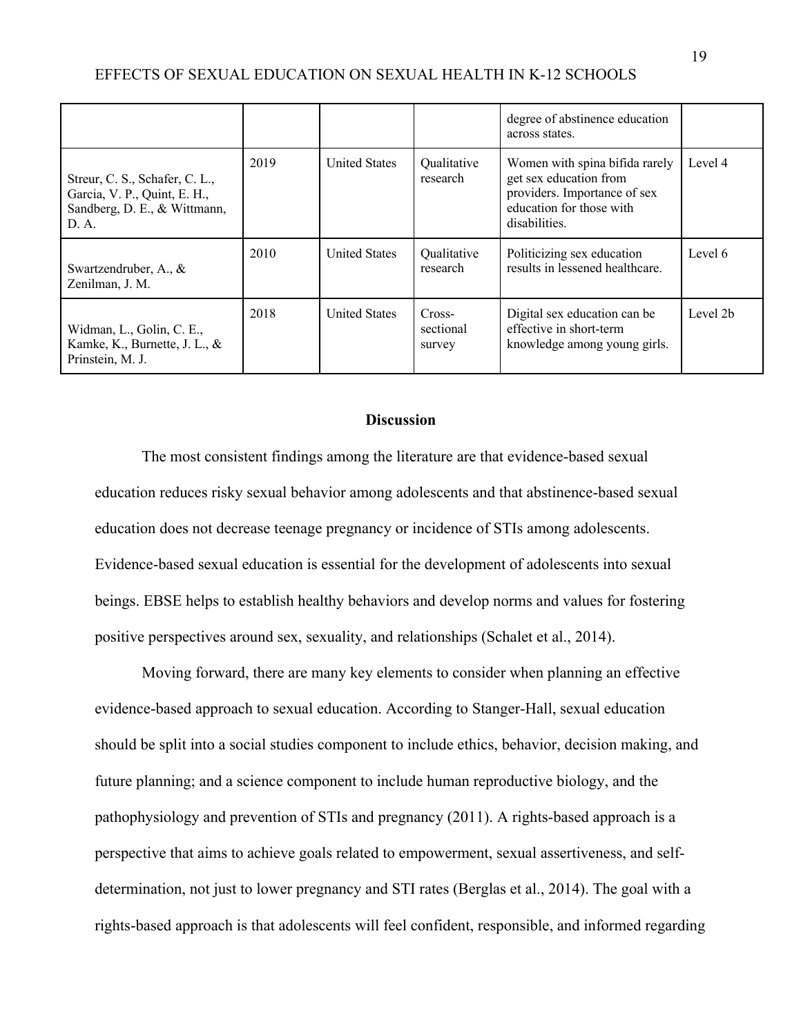|                                                                                                         |      |                      |                               | degree of abstinence education<br>across states.                                                                                      |          |
|---------------------------------------------------------------------------------------------------------|------|----------------------|-------------------------------|---------------------------------------------------------------------------------------------------------------------------------------|----------|
| Streur, C. S., Schafer, C. L.,<br>Garcia, V. P., Quint, E. H.,<br>Sandberg, D. E., & Wittmann,<br>D. A. | 2019 | <b>United States</b> | Qualitative<br>research       | Women with spina bifida rarely<br>get sex education from<br>providers. Importance of sex<br>education for those with<br>disabilities. | Level 4  |
| Swartzendruber, A., $\&$<br>Zenilman, J. M.                                                             | 2010 | <b>United States</b> | Qualitative<br>research       | Politicizing sex education<br>results in lessened healthcare.                                                                         | Level 6  |
| Widman, L., Golin, C. E.,<br>Kamke, K., Burnette, J. L., &<br>Prinstein, M. J.                          | 2018 | <b>United States</b> | Cross-<br>sectional<br>survey | Digital sex education can be<br>effective in short-term<br>knowledge among young girls.                                               | Level 2b |

## **Discussion**

The most consistent findings among the literature are that evidence-based sexual education reduces risky sexual behavior among adolescents and that abstinence-based sexual education does not decrease teenage pregnancy or incidence of STIs among adolescents. Evidence-based sexual education is essential for the development of adolescents into sexual beings. EBSE helps to establish healthy behaviors and develop norms and values for fostering positive perspectives around sex, sexuality, and relationships (Schalet et al., 2014).

Moving forward, there are many key elements to consider when planning an effective evidence-based approach to sexual education. According to Stanger-Hall, sexual education should be split into a social studies component to include ethics, behavior, decision making, and future planning; and a science component to include human reproductive biology, and the pathophysiology and prevention of STIs and pregnancy (2011). A rights-based approach is a perspective that aims to achieve goals related to empowerment, sexual assertiveness, and selfdetermination, not just to lower pregnancy and STI rates (Berglas et al., 2014). The goal with a rights-based approach is that adolescents will feel confident, responsible, and informed regarding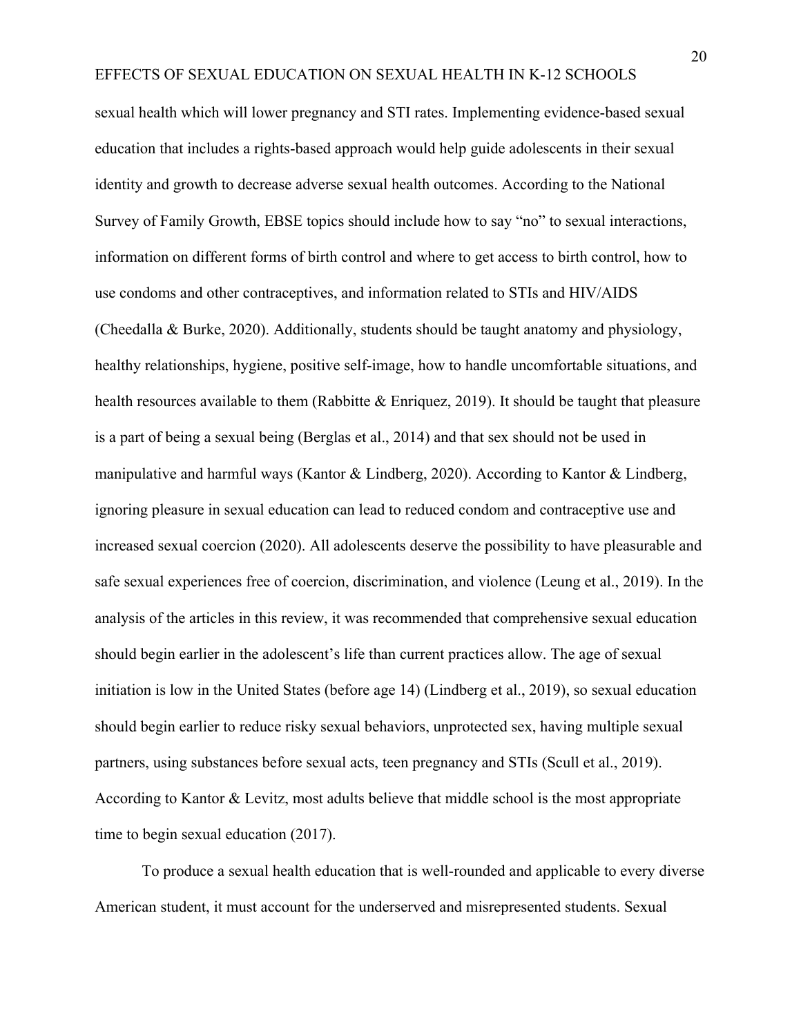sexual health which will lower pregnancy and STI rates. Implementing evidence-based sexual education that includes a rights-based approach would help guide adolescents in their sexual identity and growth to decrease adverse sexual health outcomes. According to the National Survey of Family Growth, EBSE topics should include how to say "no" to sexual interactions, information on different forms of birth control and where to get access to birth control, how to use condoms and other contraceptives, and information related to STIs and HIV/AIDS (Cheedalla & Burke, 2020). Additionally, students should be taught anatomy and physiology, healthy relationships, hygiene, positive self-image, how to handle uncomfortable situations, and health resources available to them (Rabbitte & Enriquez, 2019). It should be taught that pleasure is a part of being a sexual being (Berglas et al., 2014) and that sex should not be used in manipulative and harmful ways (Kantor & Lindberg, 2020). According to Kantor & Lindberg, ignoring pleasure in sexual education can lead to reduced condom and contraceptive use and increased sexual coercion (2020). All adolescents deserve the possibility to have pleasurable and safe sexual experiences free of coercion, discrimination, and violence (Leung et al., 2019). In the analysis of the articles in this review, it was recommended that comprehensive sexual education should begin earlier in the adolescent's life than current practices allow. The age of sexual initiation is low in the United States (before age 14) (Lindberg et al., 2019), so sexual education should begin earlier to reduce risky sexual behaviors, unprotected sex, having multiple sexual partners, using substances before sexual acts, teen pregnancy and STIs (Scull et al., 2019). According to Kantor & Levitz, most adults believe that middle school is the most appropriate time to begin sexual education (2017).

To produce a sexual health education that is well-rounded and applicable to every diverse American student, it must account for the underserved and misrepresented students. Sexual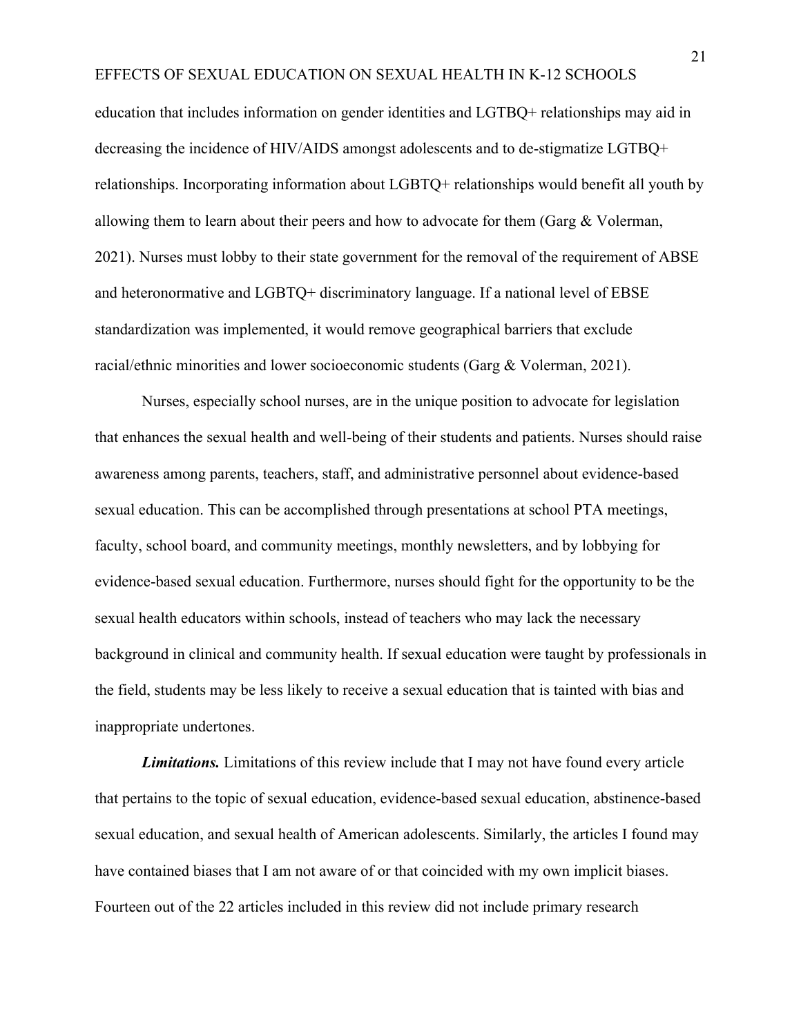education that includes information on gender identities and LGTBQ+ relationships may aid in decreasing the incidence of HIV/AIDS amongst adolescents and to de-stigmatize LGTBQ+ relationships. Incorporating information about LGBTQ+ relationships would benefit all youth by allowing them to learn about their peers and how to advocate for them (Garg  $&$  Volerman, 2021). Nurses must lobby to their state government for the removal of the requirement of ABSE and heteronormative and LGBTQ+ discriminatory language. If a national level of EBSE standardization was implemented, it would remove geographical barriers that exclude racial/ethnic minorities and lower socioeconomic students (Garg & Volerman, 2021).

Nurses, especially school nurses, are in the unique position to advocate for legislation that enhances the sexual health and well-being of their students and patients. Nurses should raise awareness among parents, teachers, staff, and administrative personnel about evidence-based sexual education. This can be accomplished through presentations at school PTA meetings, faculty, school board, and community meetings, monthly newsletters, and by lobbying for evidence-based sexual education. Furthermore, nurses should fight for the opportunity to be the sexual health educators within schools, instead of teachers who may lack the necessary background in clinical and community health. If sexual education were taught by professionals in the field, students may be less likely to receive a sexual education that is tainted with bias and inappropriate undertones.

*Limitations.* Limitations of this review include that I may not have found every article that pertains to the topic of sexual education, evidence-based sexual education, abstinence-based sexual education, and sexual health of American adolescents. Similarly, the articles I found may have contained biases that I am not aware of or that coincided with my own implicit biases. Fourteen out of the 22 articles included in this review did not include primary research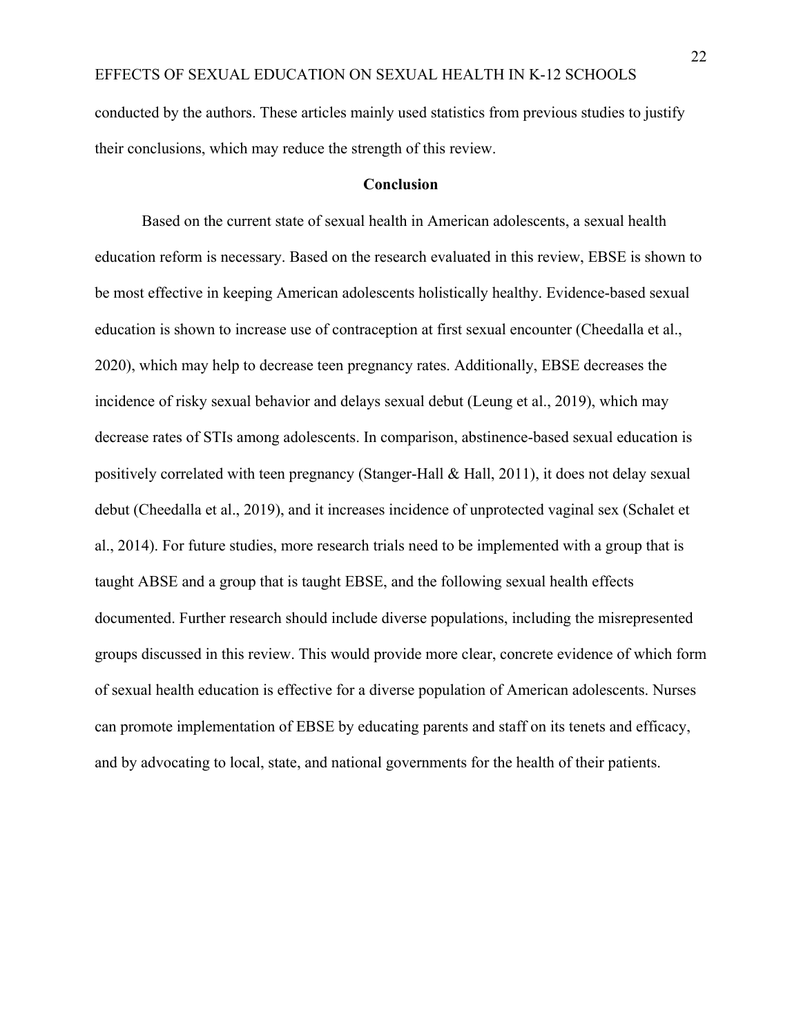conducted by the authors. These articles mainly used statistics from previous studies to justify their conclusions, which may reduce the strength of this review.

## **Conclusion**

Based on the current state of sexual health in American adolescents, a sexual health education reform is necessary. Based on the research evaluated in this review, EBSE is shown to be most effective in keeping American adolescents holistically healthy. Evidence-based sexual education is shown to increase use of contraception at first sexual encounter (Cheedalla et al., 2020), which may help to decrease teen pregnancy rates. Additionally, EBSE decreases the incidence of risky sexual behavior and delays sexual debut (Leung et al., 2019), which may decrease rates of STIs among adolescents. In comparison, abstinence-based sexual education is positively correlated with teen pregnancy (Stanger-Hall & Hall, 2011), it does not delay sexual debut (Cheedalla et al., 2019), and it increases incidence of unprotected vaginal sex (Schalet et al., 2014). For future studies, more research trials need to be implemented with a group that is taught ABSE and a group that is taught EBSE, and the following sexual health effects documented. Further research should include diverse populations, including the misrepresented groups discussed in this review. This would provide more clear, concrete evidence of which form of sexual health education is effective for a diverse population of American adolescents. Nurses can promote implementation of EBSE by educating parents and staff on its tenets and efficacy, and by advocating to local, state, and national governments for the health of their patients.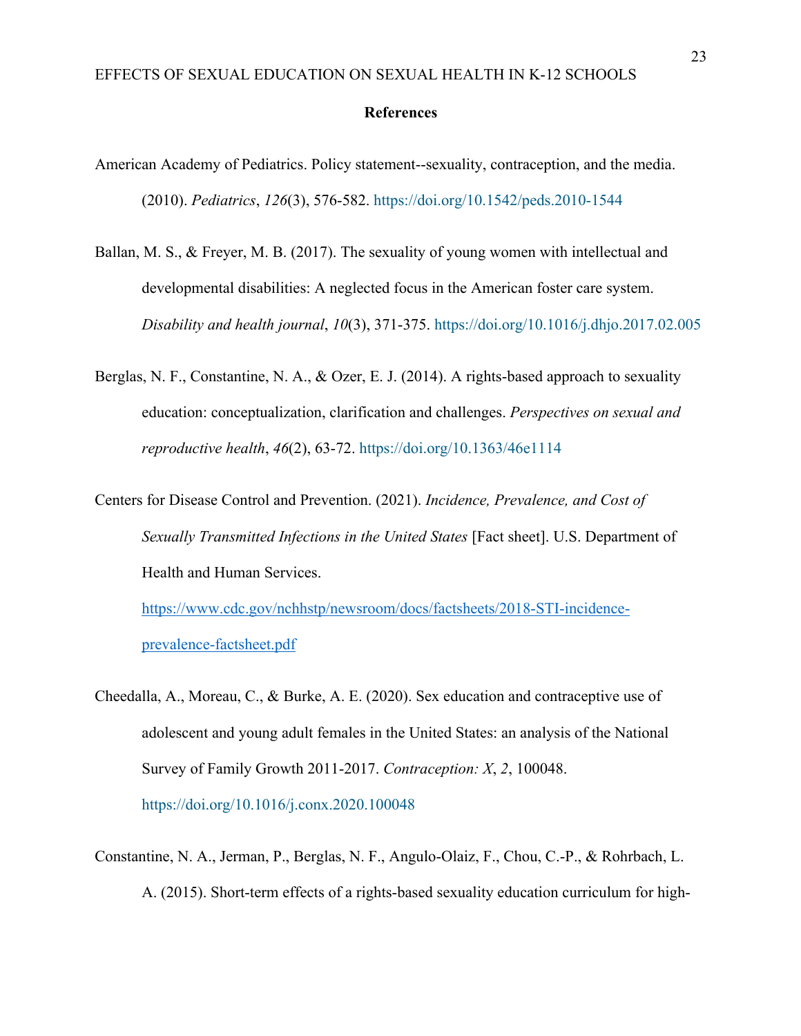## **References**

- American Academy of Pediatrics. Policy statement--sexuality, contraception, and the media. (2010). *Pediatrics*, *126*(3), 576-582. https://doi.org/10.1542/peds.2010-1544
- Ballan, M. S., & Freyer, M. B. (2017). The sexuality of young women with intellectual and developmental disabilities: A neglected focus in the American foster care system. *Disability and health journal*, *10*(3), 371-375. https://doi.org/10.1016/j.dhjo.2017.02.005
- Berglas, N. F., Constantine, N. A., & Ozer, E. J. (2014). A rights-based approach to sexuality education: conceptualization, clarification and challenges. *Perspectives on sexual and reproductive health*, *46*(2), 63-72. https://doi.org/10.1363/46e1114
- Centers for Disease Control and Prevention. (2021). *Incidence, Prevalence, and Cost of Sexually Transmitted Infections in the United States* [Fact sheet]. U.S. Department of Health and Human Services. https://www.cdc.gov/nchhstp/newsroom/docs/factsheets/2018-STI-incidence-

prevalence-factsheet.pdf

- Cheedalla, A., Moreau, C., & Burke, A. E. (2020). Sex education and contraceptive use of adolescent and young adult females in the United States: an analysis of the National Survey of Family Growth 2011-2017. *Contraception: X*, *2*, 100048. https://doi.org/10.1016/j.conx.2020.100048
- Constantine, N. A., Jerman, P., Berglas, N. F., Angulo-Olaiz, F., Chou, C.-P., & Rohrbach, L. A. (2015). Short-term effects of a rights-based sexuality education curriculum for high-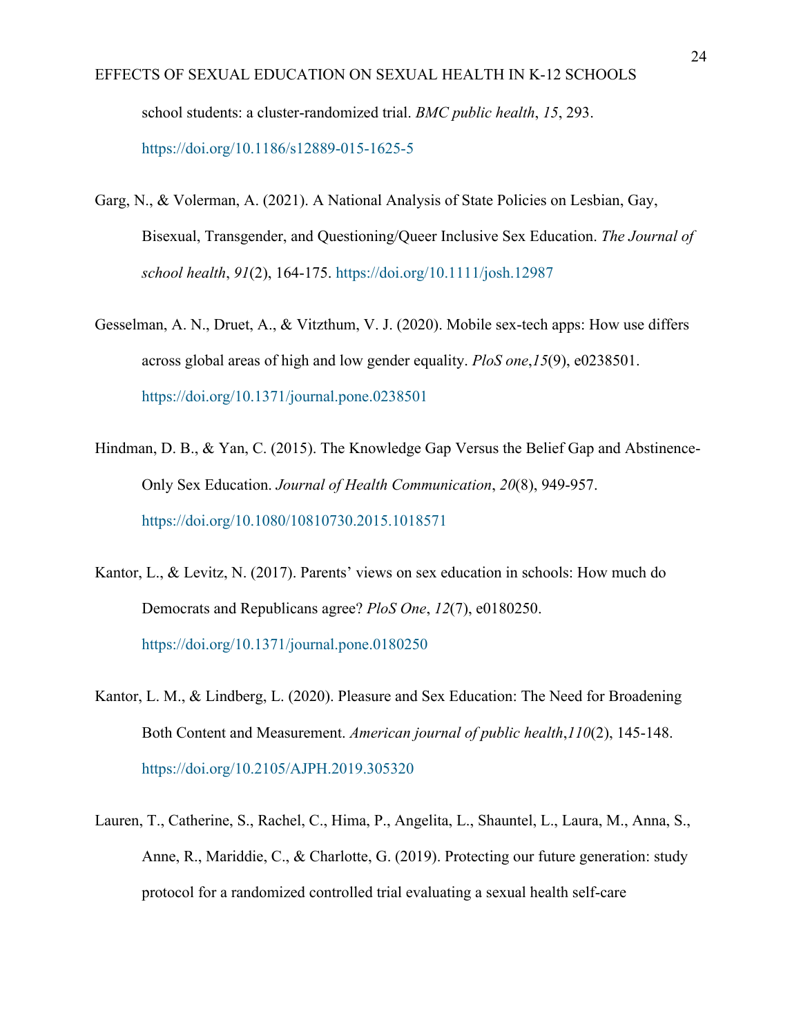- EFFECTS OF SEXUAL EDUCATION ON SEXUAL HEALTH IN K-12 SCHOOLS school students: a cluster-randomized trial. *BMC public health*, *15*, 293. https://doi.org/10.1186/s12889-015-1625-5
- Garg, N., & Volerman, A. (2021). A National Analysis of State Policies on Lesbian, Gay, Bisexual, Transgender, and Questioning/Queer Inclusive Sex Education. *The Journal of school health*, *91*(2), 164-175. https://doi.org/10.1111/josh.12987
- Gesselman, A. N., Druet, A., & Vitzthum, V. J. (2020). Mobile sex-tech apps: How use differs across global areas of high and low gender equality. *PloS one*,*15*(9), e0238501. https://doi.org/10.1371/journal.pone.0238501
- Hindman, D. B., & Yan, C. (2015). The Knowledge Gap Versus the Belief Gap and Abstinence-Only Sex Education. *Journal of Health Communication*, *20*(8), 949-957. https://doi.org/10.1080/10810730.2015.1018571
- Kantor, L., & Levitz, N. (2017). Parents' views on sex education in schools: How much do Democrats and Republicans agree? *PloS One*, *12*(7), e0180250. https://doi.org/10.1371/journal.pone.0180250
- Kantor, L. M., & Lindberg, L. (2020). Pleasure and Sex Education: The Need for Broadening Both Content and Measurement. *American journal of public health*,*110*(2), 145-148. https://doi.org/10.2105/AJPH.2019.305320
- Lauren, T., Catherine, S., Rachel, C., Hima, P., Angelita, L., Shauntel, L., Laura, M., Anna, S., Anne, R., Mariddie, C., & Charlotte, G. (2019). Protecting our future generation: study protocol for a randomized controlled trial evaluating a sexual health self-care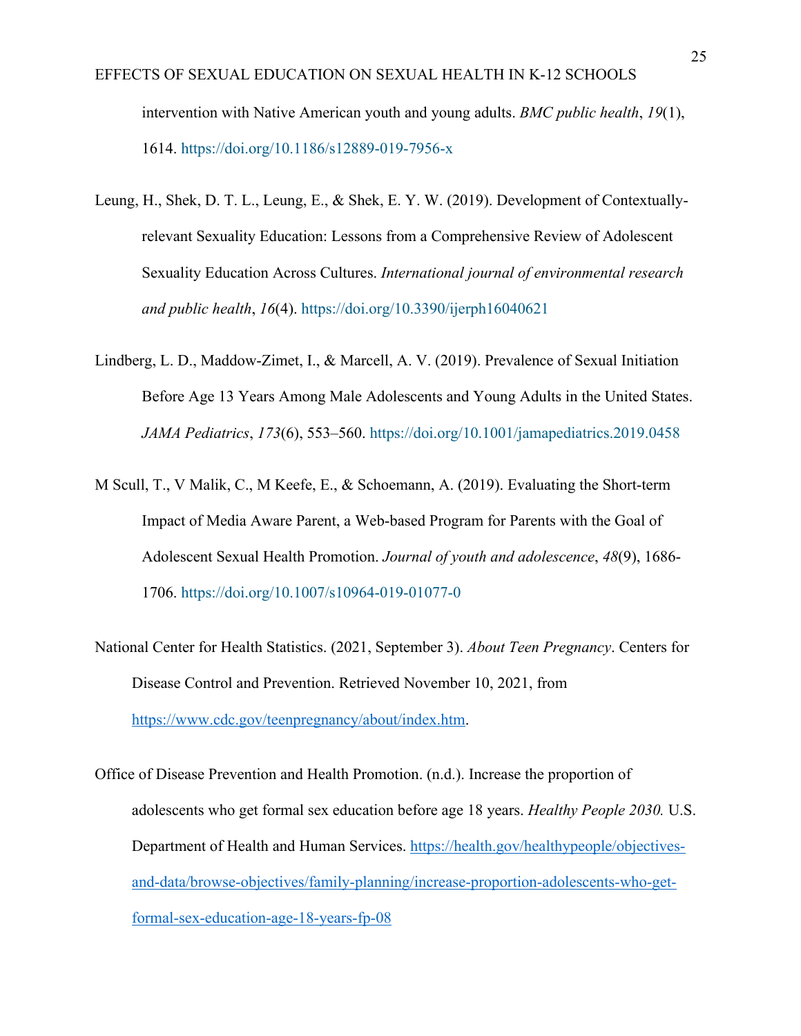- EFFECTS OF SEXUAL EDUCATION ON SEXUAL HEALTH IN K-12 SCHOOLS intervention with Native American youth and young adults. *BMC public health*, *19*(1), 1614. https://doi.org/10.1186/s12889-019-7956-x
- Leung, H., Shek, D. T. L., Leung, E., & Shek, E. Y. W. (2019). Development of Contextuallyrelevant Sexuality Education: Lessons from a Comprehensive Review of Adolescent Sexuality Education Across Cultures. *International journal of environmental research and public health*, *16*(4). https://doi.org/10.3390/ijerph16040621
- Lindberg, L. D., Maddow-Zimet, I., & Marcell, A. V. (2019). Prevalence of Sexual Initiation Before Age 13 Years Among Male Adolescents and Young Adults in the United States. *JAMA Pediatrics*, *173*(6), 553–560. https://doi.org/10.1001/jamapediatrics.2019.0458
- M Scull, T., V Malik, C., M Keefe, E., & Schoemann, A. (2019). Evaluating the Short-term Impact of Media Aware Parent, a Web-based Program for Parents with the Goal of Adolescent Sexual Health Promotion. *Journal of youth and adolescence*, *48*(9), 1686- 1706. https://doi.org/10.1007/s10964-019-01077-0
- National Center for Health Statistics. (2021, September 3). *About Teen Pregnancy*. Centers for Disease Control and Prevention. Retrieved November 10, 2021, from https://www.cdc.gov/teenpregnancy/about/index.htm.
- Office of Disease Prevention and Health Promotion. (n.d.). Increase the proportion of adolescents who get formal sex education before age 18 years. *Healthy People 2030.* U.S. Department of Health and Human Services. https://health.gov/healthypeople/objectivesand-data/browse-objectives/family-planning/increase-proportion-adolescents-who-getformal-sex-education-age-18-years-fp-08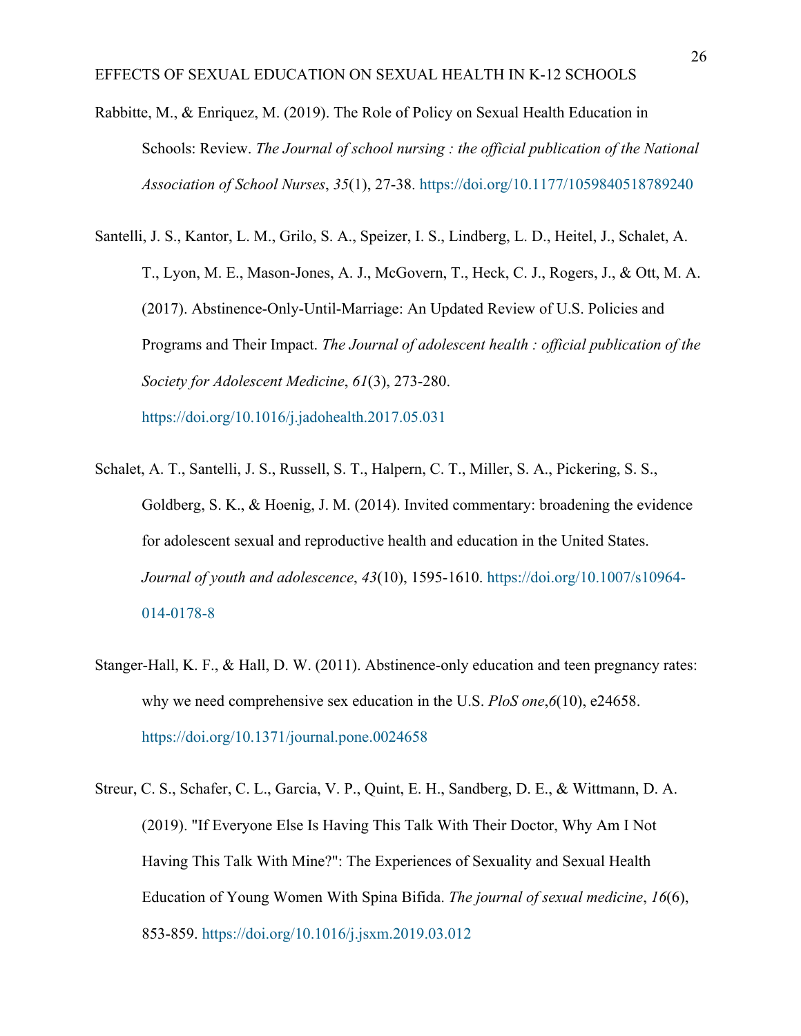- Rabbitte, M., & Enriquez, M. (2019). The Role of Policy on Sexual Health Education in Schools: Review. *The Journal of school nursing : the official publication of the National Association of School Nurses*, *35*(1), 27-38. https://doi.org/10.1177/1059840518789240
- Santelli, J. S., Kantor, L. M., Grilo, S. A., Speizer, I. S., Lindberg, L. D., Heitel, J., Schalet, A. T., Lyon, M. E., Mason-Jones, A. J., McGovern, T., Heck, C. J., Rogers, J., & Ott, M. A. (2017). Abstinence-Only-Until-Marriage: An Updated Review of U.S. Policies and Programs and Their Impact. *The Journal of adolescent health : official publication of the Society for Adolescent Medicine*, *61*(3), 273-280. https://doi.org/10.1016/j.jadohealth.2017.05.031
- Schalet, A. T., Santelli, J. S., Russell, S. T., Halpern, C. T., Miller, S. A., Pickering, S. S., Goldberg, S. K., & Hoenig, J. M. (2014). Invited commentary: broadening the evidence for adolescent sexual and reproductive health and education in the United States. *Journal of youth and adolescence*, *43*(10), 1595-1610. https://doi.org/10.1007/s10964- 014-0178-8
- Stanger-Hall, K. F., & Hall, D. W. (2011). Abstinence-only education and teen pregnancy rates: why we need comprehensive sex education in the U.S. *PloS one*,*6*(10), e24658. https://doi.org/10.1371/journal.pone.0024658
- Streur, C. S., Schafer, C. L., Garcia, V. P., Quint, E. H., Sandberg, D. E., & Wittmann, D. A. (2019). "If Everyone Else Is Having This Talk With Their Doctor, Why Am I Not Having This Talk With Mine?": The Experiences of Sexuality and Sexual Health Education of Young Women With Spina Bifida. *The journal of sexual medicine*, *16*(6), 853-859. https://doi.org/10.1016/j.jsxm.2019.03.012